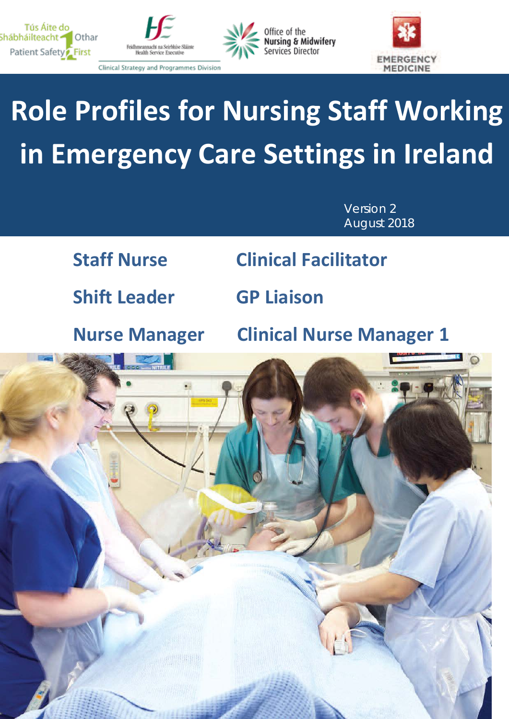







Clinical Strategy and Programmes Division

# **Role Profiles for Nursing Staff Working in Emergency Care Settings in Ireland**

Version 2 August 2018

**Shift Leader GP Liaison**

**Staff Nurse Clinical Facilitator**

1

**Nurse Manager Clinical Nurse Manager 1**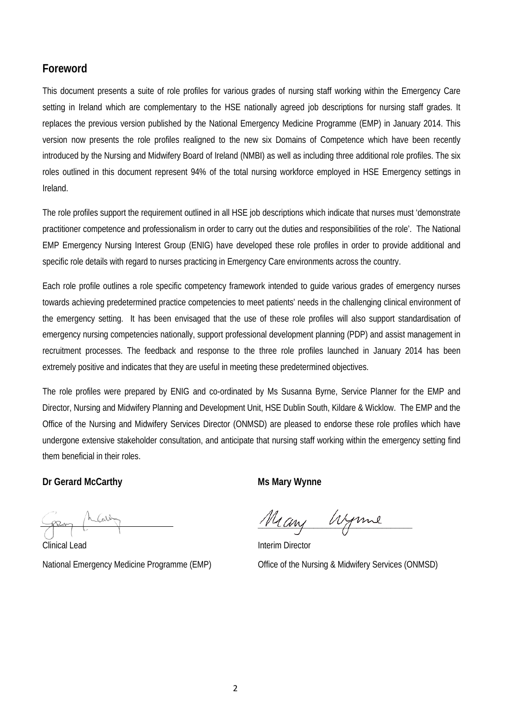#### **Foreword**

This document presents a suite of role profiles for various grades of nursing staff working within the Emergency Care setting in Ireland which are complementary to the HSE nationally agreed job descriptions for nursing staff grades. It replaces the previous version published by the National Emergency Medicine Programme (EMP) in January 2014. This version now presents the role profiles realigned to the new six Domains of Competence which have been recently introduced by the Nursing and Midwifery Board of Ireland (NMBI) as well as including three additional role profiles. The six roles outlined in this document represent 94% of the total nursing workforce employed in HSE Emergency settings in Ireland.

The role profiles support the requirement outlined in all HSE job descriptions which indicate that nurses must 'demonstrate practitioner competence and professionalism in order to carry out the duties and responsibilities of the role'. The National EMP Emergency Nursing Interest Group (ENIG) have developed these role profiles in order to provide additional and specific role details with regard to nurses practicing in Emergency Care environments across the country.

Each role profile outlines a role specific competency framework intended to guide various grades of emergency nurses towards achieving predetermined practice competencies to meet patients' needs in the challenging clinical environment of the emergency setting. It has been envisaged that the use of these role profiles will also support standardisation of emergency nursing competencies nationally, support professional development planning (PDP) and assist management in recruitment processes. The feedback and response to the three role profiles launched in January 2014 has been extremely positive and indicates that they are useful in meeting these predetermined objectives.

The role profiles were prepared by ENIG and co-ordinated by Ms Susanna Byrne, Service Planner for the EMP and Director, Nursing and Midwifery Planning and Development Unit, HSE Dublin South, Kildare & Wicklow. The EMP and the Office of the Nursing and Midwifery Services Director (ONMSD) are pleased to endorse these role profiles which have undergone extensive stakeholder consultation, and anticipate that nursing staff working within the emergency setting find them beneficial in their roles.

#### **Dr Gerard McCarthy Ms Mary Wynne**

Many Wyme

Clinical Lead **Interim Director** National Emergency Medicine Programme (EMP) Office of the Nursing & Midwifery Services (ONMSD)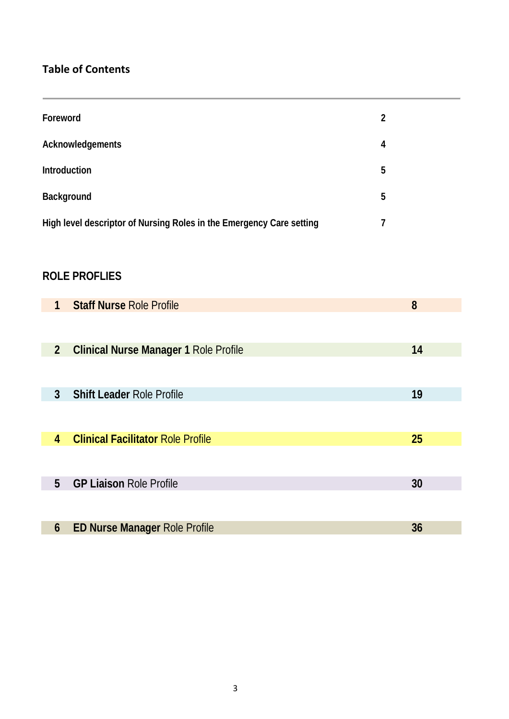#### **Table of Contents**

| Foreword                                                             | 2 |
|----------------------------------------------------------------------|---|
| Acknowledgements                                                     | 4 |
| Introduction                                                         | 5 |
| Background                                                           | 5 |
| High level descriptor of Nursing Roles in the Emergency Care setting | 7 |

#### **ROLE PROFLIES**

| $\mathbf{1}$   | <b>Staff Nurse Role Profile</b>              | 8  |
|----------------|----------------------------------------------|----|
|                |                                              |    |
| 2 <sup>2</sup> | <b>Clinical Nurse Manager 1 Role Profile</b> | 14 |
|                |                                              |    |
| $\mathfrak{Z}$ | <b>Shift Leader Role Profile</b>             | 19 |
|                |                                              |    |
| 4              | <b>Clinical Facilitator Role Profile</b>     | 25 |
|                |                                              |    |
| 5              | <b>GP Liaison Role Profile</b>               | 30 |
|                |                                              |    |
| 6              | <b>ED Nurse Manager Role Profile</b>         | 36 |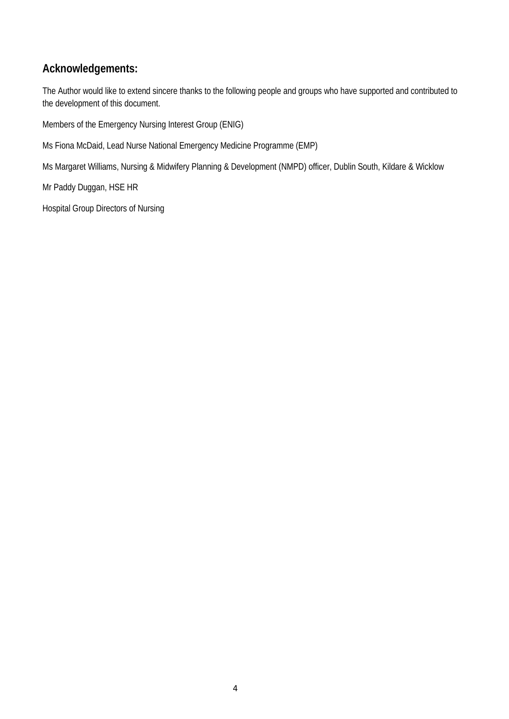#### **Acknowledgements:**

The Author would like to extend sincere thanks to the following people and groups who have supported and contributed to the development of this document.

Members of the Emergency Nursing Interest Group (ENIG)

Ms Fiona McDaid, Lead Nurse National Emergency Medicine Programme (EMP)

Ms Margaret Williams, Nursing & Midwifery Planning & Development (NMPD) officer, Dublin South, Kildare & Wicklow

Mr Paddy Duggan, HSE HR

Hospital Group Directors of Nursing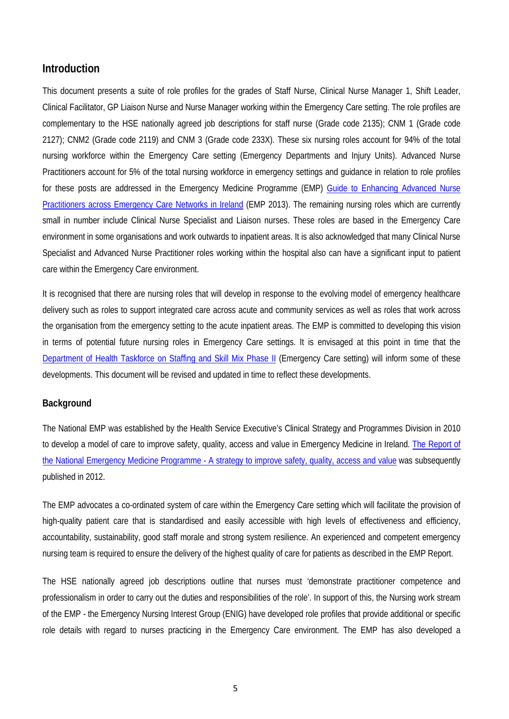#### **Introduction**

This document presents a suite of role profiles for the grades of Staff Nurse, Clinical Nurse Manager 1, Shift Leader, Clinical Facilitator, GP Liaison Nurse and Nurse Manager working within the Emergency Care setting. The role profiles are complementary to the HSE nationally agreed job descriptions for staff nurse (Grade code 2135); CNM 1 (Grade code 2127); CNM2 (Grade code 2119) and CNM 3 (Grade code 233X). These six nursing roles account for 94% of the total nursing workforce within the Emergency Care setting (Emergency Departments and Injury Units). Advanced Nurse Practitioners account for 5% of the total nursing workforce in emergency settings and guidance in relation to role profiles for these posts are addressed in the Emergency Medicine Programme (EMP) [Guide to Enhancing Advanced Nurse](http://emnow.ie/wordpress/wp-content/uploads/2015/03/A-Guide-to-Enhance-ANP-Services-across-Emergency-Care-Networks-in-Ireland-July-2013-Final_4.pdf)  [Practitioners across Emergency Care](http://emnow.ie/wordpress/wp-content/uploads/2015/03/A-Guide-to-Enhance-ANP-Services-across-Emergency-Care-Networks-in-Ireland-July-2013-Final_4.pdf) Networks in Ireland (EMP 2013). The remaining nursing roles which are currently small in number include Clinical Nurse Specialist and Liaison nurses. These roles are based in the Emergency Care environment in some organisations and work outwards to inpatient areas. It is also acknowledged that many Clinical Nurse Specialist and Advanced Nurse Practitioner roles working within the hospital also can have a significant input to patient care within the Emergency Care environment.

It is recognised that there are nursing roles that will develop in response to the evolving model of emergency healthcare delivery such as roles to support integrated care across acute and community services as well as roles that work across the organisation from the emergency setting to the acute inpatient areas. The EMP is committed to developing this vision in terms of potential future nursing roles in Emergency Care settings. It is envisaged at this point in time that the [Department of Health Taskforce on Staffing and Skill Mix Phase II](https://health.gov.ie/office-of-the-chief-nursing-officer/our-policies/taskforce-on-staffing-and-skill-mix-for-nursing/) (Emergency Care setting) will inform some of these developments. This document will be revised and updated in time to reflect these developments.

#### **Background**

The National EMP was established by the Health Service Executive's Clinical Strategy and Programmes Division in 2010 to develop a model of care to improve safety, quality, access and value in Emergency Medicine in Ireland. The Report of the National Emergency Medicine Programme - [A strategy to improve safety, quality, access and value](https://www.hse.ie/eng/services/publications/clinical-strategy-and-programmes/the-national-emergency-medicine-programme.pdf) was subsequently published in 2012.

The EMP advocates a co-ordinated system of care within the Emergency Care setting which will facilitate the provision of high-quality patient care that is standardised and easily accessible with high levels of effectiveness and efficiency, accountability, sustainability, good staff morale and strong system resilience. An experienced and competent emergency nursing team is required to ensure the delivery of the highest quality of care for patients as described in the EMP Report.

The HSE nationally agreed job descriptions outline that nurses must 'demonstrate practitioner competence and professionalism in order to carry out the duties and responsibilities of the role'. In support of this, the Nursing work stream of the EMP - the Emergency Nursing Interest Group (ENIG) have developed role profiles that provide additional or specific role details with regard to nurses practicing in the Emergency Care environment. The EMP has also developed a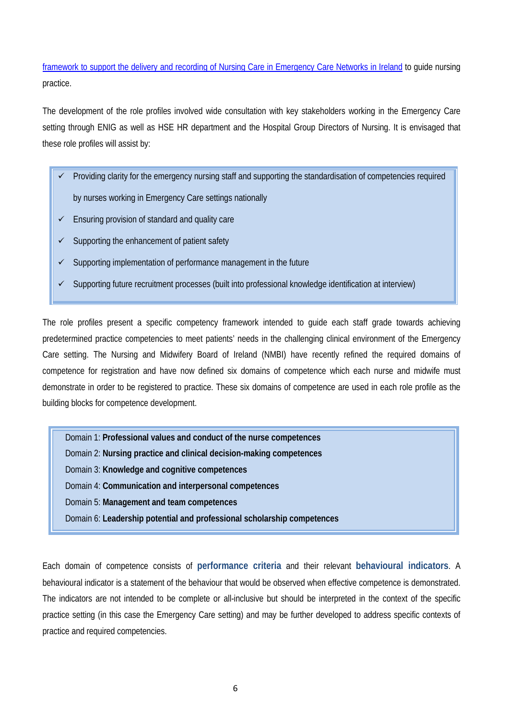[framework to support the delivery and recording of Nursing Care in Emergency Care](http://emnow.ie/wordpress/wp-content/uploads/2018/07/Framework-to-support-the-delivery-recording-of-nursing-care-in-ECNs-Nov-2017.pdf) Networks in Ireland to guide nursing practice.

The development of the role profiles involved wide consultation with key stakeholders working in the Emergency Care setting through ENIG as well as HSE HR department and the Hospital Group Directors of Nursing. It is envisaged that these role profiles will assist by:

- Providing clarity for the emergency nursing staff and supporting the standardisation of competencies required by nurses working in Emergency Care settings nationally
- $\checkmark$  Ensuring provision of standard and quality care
- Supporting the enhancement of patient safety
- Supporting implementation of performance management in the future
- Supporting future recruitment processes (built into professional knowledge identification at interview)

The role profiles present a specific competency framework intended to guide each staff grade towards achieving predetermined practice competencies to meet patients' needs in the challenging clinical environment of the Emergency Care setting. The Nursing and Midwifery Board of Ireland (NMBI) have recently refined the required domains of competence for registration and have now defined six domains of competence which each nurse and midwife must demonstrate in order to be registered to practice. These six domains of competence are used in each role profile as the building blocks for competence development.

Domain 1: **Professional values and conduct of the nurse competences** 

Domain 2: **Nursing practice and clinical decision-making competences** 

Domain 3: **Knowledge and cognitive competences** 

Domain 4: **Communication and interpersonal competences** 

Domain 5: **Management and team competences** 

Domain 6: **Leadership potential and professional scholarship competences** 

Each domain of competence consists of **performance criteria** and their relevant **behavioural indicators**. A behavioural indicator is a statement of the behaviour that would be observed when effective competence is demonstrated. The indicators are not intended to be complete or all-inclusive but should be interpreted in the context of the specific practice setting (in this case the Emergency Care setting) and may be further developed to address specific contexts of practice and required competencies.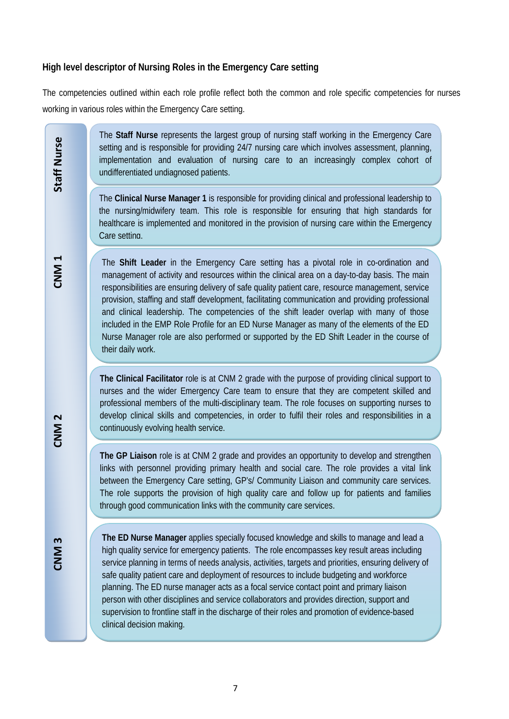#### **High level descriptor of Nursing Roles in the Emergency Care setting**

The competencies outlined within each role profile reflect both the common and role specific competencies for nurses working in various roles within the Emergency Care setting.

> The **Staff Nurse** represents the largest group of nursing staff working in the Emergency Care setting and is responsible for providing 24/7 nursing care which involves assessment, planning, implementation and evaluation of nursing care to an increasingly complex cohort of undifferentiated undiagnosed patients.

The **Clinical Nurse Manager 1** is responsible for providing clinical and professional leadership to the nursing/midwifery team. This role is responsible for ensuring that high standards for healthcare is implemented and monitored in the provision of nursing care within the Emergency Care setting.

The **Shift Leader** in the Emergency Care setting has a pivotal role in co-ordination and management of activity and resources within the clinical area on a day-to-day basis. The main responsibilities are ensuring delivery of safe quality patient care, resource management, service provision, staffing and staff development, facilitating communication and providing professional and clinical leadership. The competencies of the shift leader overlap with many of those included in the EMP Role Profile for an ED Nurse Manager as many of the elements of the ED Nurse Manager role are also performed or supported by the ED Shift Leader in the course of their daily work.

**The Clinical Facilitator** role is at CNM 2 grade with the purpose of providing clinical support to nurses and the wider Emergency Care team to ensure that they are competent skilled and professional members of the multi-disciplinary team. The role focuses on supporting nurses to develop clinical skills and competencies, in order to fulfil their roles and responsibilities in a continuously evolving health service.

**The GP Liaison** role is at CNM 2 grade and provides an opportunity to develop and strengthen links with personnel providing primary health and social care. The role provides a vital link between the Emergency Care setting, GP's/ Community Liaison and community care services. The role supports the provision of high quality care and follow up for patients and families through good communication links with the community care services.

**The ED Nurse Manager** applies specially focused knowledge and skills to manage and lead a high quality service for emergency patients. The role encompasses key result areas including service planning in terms of needs analysis, activities, targets and priorities, ensuring delivery of safe quality patient care and deployment of resources to include budgeting and workforce planning. The ED nurse manager acts as a focal service contact point and primary liaison person with other disciplines and service collaborators and provides direction, support and supervision to frontline staff in the discharge of their roles and promotion of evidence-based clinical decision making.

Staff Nurse

**CNM 3 CNM 2 CNM 1 Staff Nurse**  CNM<sub>2</sub>

CNM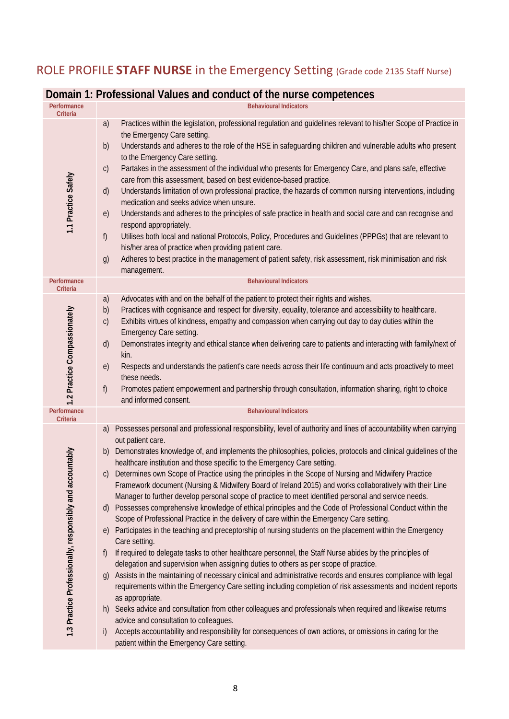## ROLE PROFILE **STAFF NURSE** in the Emergency Setting (Grade code 2135 Staff Nurse)

#### **Domain 1: Professional Values and conduct of the nurse competences**

| Performance<br><b>Criteria</b>                               | <b>Behavioural Indicators</b>                                                                                                                                                                                                                                                                                                                                                                                                                                                                                                                                                                                                                                                                                                                                                                                                                                                                                                                                                                                                                                                                                                                                                                                                                                                                                                                                                                                                                                                                                                                                                                                                                                                                                                                                                                                                                                                      |
|--------------------------------------------------------------|------------------------------------------------------------------------------------------------------------------------------------------------------------------------------------------------------------------------------------------------------------------------------------------------------------------------------------------------------------------------------------------------------------------------------------------------------------------------------------------------------------------------------------------------------------------------------------------------------------------------------------------------------------------------------------------------------------------------------------------------------------------------------------------------------------------------------------------------------------------------------------------------------------------------------------------------------------------------------------------------------------------------------------------------------------------------------------------------------------------------------------------------------------------------------------------------------------------------------------------------------------------------------------------------------------------------------------------------------------------------------------------------------------------------------------------------------------------------------------------------------------------------------------------------------------------------------------------------------------------------------------------------------------------------------------------------------------------------------------------------------------------------------------------------------------------------------------------------------------------------------------|
| 1.1 Practice Safely                                          | a)<br>Practices within the legislation, professional regulation and guidelines relevant to his/her Scope of Practice in<br>the Emergency Care setting.<br>b)<br>Understands and adheres to the role of the HSE in safeguarding children and vulnerable adults who present<br>to the Emergency Care setting.<br>Partakes in the assessment of the individual who presents for Emergency Care, and plans safe, effective<br>$\mathsf{C}$<br>care from this assessment, based on best evidence-based practice.<br>Understands limitation of own professional practice, the hazards of common nursing interventions, including<br>d)<br>medication and seeks advice when unsure.<br>Understands and adheres to the principles of safe practice in health and social care and can recognise and<br>e)<br>respond appropriately.<br>f)<br>Utilises both local and national Protocols, Policy, Procedures and Guidelines (PPPGs) that are relevant to<br>his/her area of practice when providing patient care.<br>Adheres to best practice in the management of patient safety, risk assessment, risk minimisation and risk<br>g)<br>management.                                                                                                                                                                                                                                                                                                                                                                                                                                                                                                                                                                                                                                                                                                                                          |
| Performance<br>Criteria                                      | <b>Behavioural Indicators</b>                                                                                                                                                                                                                                                                                                                                                                                                                                                                                                                                                                                                                                                                                                                                                                                                                                                                                                                                                                                                                                                                                                                                                                                                                                                                                                                                                                                                                                                                                                                                                                                                                                                                                                                                                                                                                                                      |
| 1.2 Practice Compassionately                                 | Advocates with and on the behalf of the patient to protect their rights and wishes.<br>a)<br>Practices with cognisance and respect for diversity, equality, tolerance and accessibility to healthcare.<br>b)<br>Exhibits virtues of kindness, empathy and compassion when carrying out day to day duties within the<br>$\mathsf{C}$<br>Emergency Care setting.<br>Demonstrates integrity and ethical stance when delivering care to patients and interacting with family/next of<br>d)<br>kin.<br>Respects and understands the patient's care needs across their life continuum and acts proactively to meet<br>e)<br>these needs.<br>f)<br>Promotes patient empowerment and partnership through consultation, information sharing, right to choice<br>and informed consent.                                                                                                                                                                                                                                                                                                                                                                                                                                                                                                                                                                                                                                                                                                                                                                                                                                                                                                                                                                                                                                                                                                       |
| Performance<br>Criteria                                      | <b>Behavioural Indicators</b>                                                                                                                                                                                                                                                                                                                                                                                                                                                                                                                                                                                                                                                                                                                                                                                                                                                                                                                                                                                                                                                                                                                                                                                                                                                                                                                                                                                                                                                                                                                                                                                                                                                                                                                                                                                                                                                      |
| countably<br>1.3 Practice Professionally, responsibly and ac | Possesses personal and professional responsibility, level of authority and lines of accountability when carrying<br>a)<br>out patient care.<br>Demonstrates knowledge of, and implements the philosophies, policies, protocols and clinical guidelines of the<br>b)<br>healthcare institution and those specific to the Emergency Care setting.<br>Determines own Scope of Practice using the principles in the Scope of Nursing and Midwifery Practice<br>$\mathsf{C}$<br>Framework document (Nursing & Midwifery Board of Ireland 2015) and works collaboratively with their Line<br>Manager to further develop personal scope of practice to meet identified personal and service needs.<br>Possesses comprehensive knowledge of ethical principles and the Code of Professional Conduct within the<br>$\mathsf{d}$<br>Scope of Professional Practice in the delivery of care within the Emergency Care setting.<br>Participates in the teaching and preceptorship of nursing students on the placement within the Emergency<br>$\epsilon$<br>Care setting.<br>If required to delegate tasks to other healthcare personnel, the Staff Nurse abides by the principles of<br>$\mathsf{f}$<br>delegation and supervision when assigning duties to others as per scope of practice.<br>Assists in the maintaining of necessary clinical and administrative records and ensures compliance with legal<br>$\mathfrak{g}$<br>requirements within the Emergency Care setting including completion of risk assessments and incident reports<br>as appropriate.<br>h) Seeks advice and consultation from other colleagues and professionals when required and likewise returns<br>advice and consultation to colleagues.<br>Accepts accountability and responsibility for consequences of own actions, or omissions in caring for the<br>i)<br>patient within the Emergency Care setting. |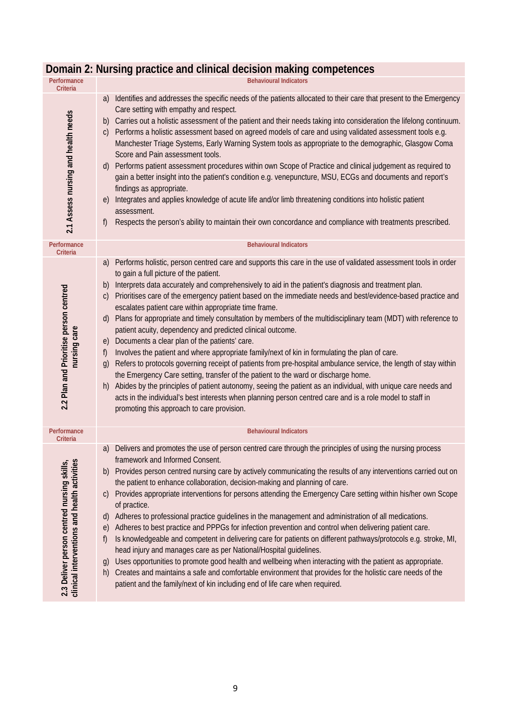| Performance<br>Criteria                                                                    | <b>Behavioural Indicators</b>                                                                                                                                                                                                                                                                                                                                                                                                                                                                                                                                                                                                                                                                                                                                                                                                                                                                                                                                                                                                                                                                                                                                                                                                                                                                                                            |
|--------------------------------------------------------------------------------------------|------------------------------------------------------------------------------------------------------------------------------------------------------------------------------------------------------------------------------------------------------------------------------------------------------------------------------------------------------------------------------------------------------------------------------------------------------------------------------------------------------------------------------------------------------------------------------------------------------------------------------------------------------------------------------------------------------------------------------------------------------------------------------------------------------------------------------------------------------------------------------------------------------------------------------------------------------------------------------------------------------------------------------------------------------------------------------------------------------------------------------------------------------------------------------------------------------------------------------------------------------------------------------------------------------------------------------------------|
| 2.1 Assess nursing and health needs                                                        | Identifies and addresses the specific needs of the patients allocated to their care that present to the Emergency<br>a)<br>Care setting with empathy and respect.<br>Carries out a holistic assessment of the patient and their needs taking into consideration the lifelong continuum.<br>b)<br>Performs a holistic assessment based on agreed models of care and using validated assessment tools e.g.<br>$\mathsf{C}$<br>Manchester Triage Systems, Early Warning System tools as appropriate to the demographic, Glasgow Coma<br>Score and Pain assessment tools.<br>Performs patient assessment procedures within own Scope of Practice and clinical judgement as required to<br>d)<br>gain a better insight into the patient's condition e.g. venepuncture, MSU, ECGs and documents and report's<br>findings as appropriate.<br>Integrates and applies knowledge of acute life and/or limb threatening conditions into holistic patient<br>e)<br>assessment.<br>Respects the person's ability to maintain their own concordance and compliance with treatments prescribed.<br>f)                                                                                                                                                                                                                                                   |
| Performance<br>Criteria                                                                    | <b>Behavioural Indicators</b>                                                                                                                                                                                                                                                                                                                                                                                                                                                                                                                                                                                                                                                                                                                                                                                                                                                                                                                                                                                                                                                                                                                                                                                                                                                                                                            |
| 2.2 Plan and Prioritise person centred<br>nursing care                                     | Performs holistic, person centred care and supports this care in the use of validated assessment tools in order<br>a)<br>to gain a full picture of the patient.<br>Interprets data accurately and comprehensively to aid in the patient's diagnosis and treatment plan.<br>b)<br>Prioritises care of the emergency patient based on the immediate needs and best/evidence-based practice and<br>$\mathsf{C}$<br>escalates patient care within appropriate time frame.<br>Plans for appropriate and timely consultation by members of the multidisciplinary team (MDT) with reference to<br>d)<br>patient acuity, dependency and predicted clinical outcome.<br>Documents a clear plan of the patients' care.<br>e)<br>Involves the patient and where appropriate family/next of kin in formulating the plan of care.<br>f)<br>Refers to protocols governing receipt of patients from pre-hospital ambulance service, the length of stay within<br>$\mathfrak{g}$<br>the Emergency Care setting, transfer of the patient to the ward or discharge home.<br>Abides by the principles of patient autonomy, seeing the patient as an individual, with unique care needs and<br>h)<br>acts in the individual's best interests when planning person centred care and is a role model to staff in<br>promoting this approach to care provision. |
| Performance<br>Criteria                                                                    | <b>Behavioural Indicators</b>                                                                                                                                                                                                                                                                                                                                                                                                                                                                                                                                                                                                                                                                                                                                                                                                                                                                                                                                                                                                                                                                                                                                                                                                                                                                                                            |
| clinical interventions and health activities<br>2.3 Deliver person centred nursing skills, | Delivers and promotes the use of person centred care through the principles of using the nursing process<br>a)<br>framework and Informed Consent.<br>Provides person centred nursing care by actively communicating the results of any interventions carried out on<br>b)<br>the patient to enhance collaboration, decision-making and planning of care.<br>Provides appropriate interventions for persons attending the Emergency Care setting within his/her own Scope<br>C)<br>of practice.<br>Adheres to professional practice guidelines in the management and administration of all medications.<br>$\mathsf{d}$<br>Adheres to best practice and PPPGs for infection prevention and control when delivering patient care.<br>e)<br>Is knowledgeable and competent in delivering care for patients on different pathways/protocols e.g. stroke, MI,<br>f)<br>head injury and manages care as per National/Hospital guidelines.<br>Uses opportunities to promote good health and wellbeing when interacting with the patient as appropriate.<br>g)<br>Creates and maintains a safe and comfortable environment that provides for the holistic care needs of the<br>h)<br>patient and the family/next of kin including end of life care when required.                                                                                |

## **Domain 2: Nursing practice and clinical decision making competences**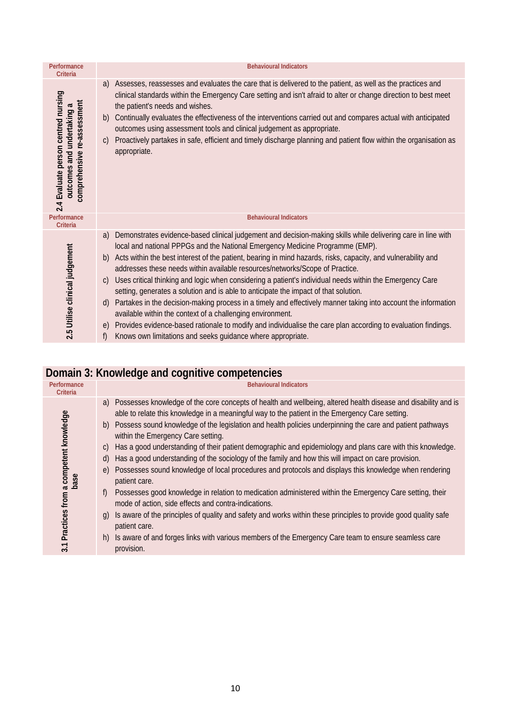| Performance<br>Criteria                                                                                                    | <b>Behavioural Indicators</b>                                                                                                                                                                                                                                                                                                                                                                                                                                                                                                                                                                                                                                                                                                                                                                                                                                                                                                                                                                                     |
|----------------------------------------------------------------------------------------------------------------------------|-------------------------------------------------------------------------------------------------------------------------------------------------------------------------------------------------------------------------------------------------------------------------------------------------------------------------------------------------------------------------------------------------------------------------------------------------------------------------------------------------------------------------------------------------------------------------------------------------------------------------------------------------------------------------------------------------------------------------------------------------------------------------------------------------------------------------------------------------------------------------------------------------------------------------------------------------------------------------------------------------------------------|
| 2.4 Evaluate person centred nursing<br>re-assessment<br>$\boldsymbol{\varpi}$<br>outcomes and undertaking<br>comprehensive | Assesses, reassesses and evaluates the care that is delivered to the patient, as well as the practices and<br>a)<br>clinical standards within the Emergency Care setting and isn't afraid to alter or change direction to best meet<br>the patient's needs and wishes.<br>Continually evaluates the effectiveness of the interventions carried out and compares actual with anticipated<br>b)<br>outcomes using assessment tools and clinical judgement as appropriate.<br>Proactively partakes in safe, efficient and timely discharge planning and patient flow within the organisation as<br>$\mathcal{C}$<br>appropriate.                                                                                                                                                                                                                                                                                                                                                                                     |
| Performance<br>Criteria                                                                                                    | <b>Behavioural Indicators</b>                                                                                                                                                                                                                                                                                                                                                                                                                                                                                                                                                                                                                                                                                                                                                                                                                                                                                                                                                                                     |
| 2.5 Utilise clinical judgement                                                                                             | Demonstrates evidence-based clinical judgement and decision-making skills while delivering care in line with<br>a)<br>local and national PPPGs and the National Emergency Medicine Programme (EMP).<br>Acts within the best interest of the patient, bearing in mind hazards, risks, capacity, and vulnerability and<br>b)<br>addresses these needs within available resources/networks/Scope of Practice.<br>Uses critical thinking and logic when considering a patient's individual needs within the Emergency Care<br>$\mathcal{C}$<br>setting, generates a solution and is able to anticipate the impact of that solution.<br>Partakes in the decision-making process in a timely and effectively manner taking into account the information<br>d)<br>available within the context of a challenging environment.<br>Provides evidence-based rationale to modify and individualise the care plan according to evaluation findings.<br>e)<br>Knows own limitations and seeks guidance where appropriate.<br>f) |

## **Domain 3: Knowledge and cognitive competencies**

| Performance<br>Criteria                                          | <b>Behavioural Indicators</b>                                                                                                                                                                                                                                                                                                                                                                                                                                                                                                                                                                                                                                                                                                                                                                                                                                                                                                                                                                                                                                                                                                                                                                                                |
|------------------------------------------------------------------|------------------------------------------------------------------------------------------------------------------------------------------------------------------------------------------------------------------------------------------------------------------------------------------------------------------------------------------------------------------------------------------------------------------------------------------------------------------------------------------------------------------------------------------------------------------------------------------------------------------------------------------------------------------------------------------------------------------------------------------------------------------------------------------------------------------------------------------------------------------------------------------------------------------------------------------------------------------------------------------------------------------------------------------------------------------------------------------------------------------------------------------------------------------------------------------------------------------------------|
| Practices from a competent knowledge<br>base<br>$\overline{3.1}$ | Possesses knowledge of the core concepts of health and wellbeing, altered health disease and disability and is<br>a)<br>able to relate this knowledge in a meaningful way to the patient in the Emergency Care setting.<br>b) Possess sound knowledge of the legislation and health policies underpinning the care and patient pathways<br>within the Emergency Care setting.<br>Has a good understanding of their patient demographic and epidemiology and plans care with this knowledge.<br>$\mathcal{C}$<br>Has a good understanding of the sociology of the family and how this will impact on care provision.<br>d)<br>Possesses sound knowledge of local procedures and protocols and displays this knowledge when rendering<br>$\epsilon$<br>patient care.<br>Possesses good knowledge in relation to medication administered within the Emergency Care setting, their<br>f)<br>mode of action, side effects and contra-indications.<br>Is aware of the principles of quality and safety and works within these principles to provide good quality safe<br>$\mathbf{q}$<br>patient care.<br>Is aware of and forges links with various members of the Emergency Care team to ensure seamless care<br>h)<br>provision. |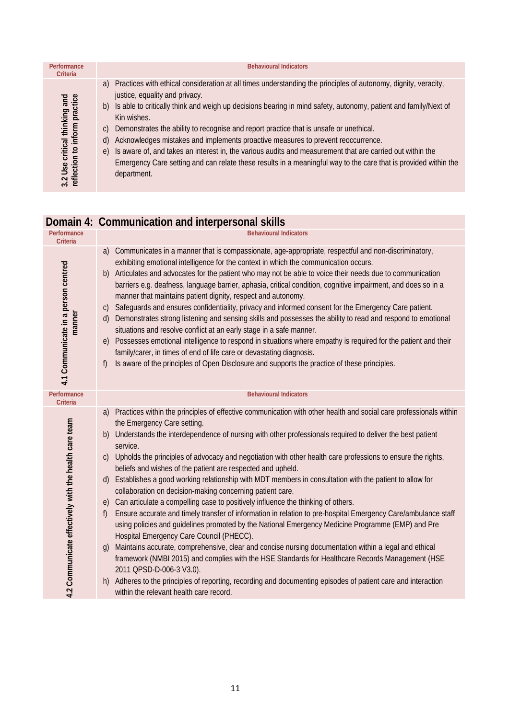| Performance<br>Criteria                                        | <b>Behavioural Indicators</b>                                                                                                                                                                                                                                                                                                                                                                                                                                                                                                                                                                                                                                                                                                        |
|----------------------------------------------------------------|--------------------------------------------------------------------------------------------------------------------------------------------------------------------------------------------------------------------------------------------------------------------------------------------------------------------------------------------------------------------------------------------------------------------------------------------------------------------------------------------------------------------------------------------------------------------------------------------------------------------------------------------------------------------------------------------------------------------------------------|
| 3.2 Use critical thinking and<br>reflection to inform practice | a) Practices with ethical consideration at all times understanding the principles of autonomy, dignity, veracity,<br>justice, equality and privacy.<br>b) Is able to critically think and weigh up decisions bearing in mind safety, autonomy, patient and family/Next of<br>Kin wishes.<br>Demonstrates the ability to recognise and report practice that is unsafe or unethical.<br>C)<br>Acknowledges mistakes and implements proactive measures to prevent reoccurrence.<br>d)<br>e) Is aware of, and takes an interest in, the various audits and measurement that are carried out within the<br>Emergency Care setting and can relate these results in a meaningful way to the care that is provided within the<br>department. |

## **Domain 4: Communication and interpersonal skills**

| Performance<br><b>Criteria</b>                        | <b>Behavioural Indicators</b>                                                                                                                                                                                                                                                                                                                                                                                                                                                                                                                                                                                                                                                                                                                                                                                                                                                                                                                                                                                                                                                                                                                                                                                                                                                                                                                                                                                                               |
|-------------------------------------------------------|---------------------------------------------------------------------------------------------------------------------------------------------------------------------------------------------------------------------------------------------------------------------------------------------------------------------------------------------------------------------------------------------------------------------------------------------------------------------------------------------------------------------------------------------------------------------------------------------------------------------------------------------------------------------------------------------------------------------------------------------------------------------------------------------------------------------------------------------------------------------------------------------------------------------------------------------------------------------------------------------------------------------------------------------------------------------------------------------------------------------------------------------------------------------------------------------------------------------------------------------------------------------------------------------------------------------------------------------------------------------------------------------------------------------------------------------|
| 4.1 Communicate in a person centred<br>manner         | Communicates in a manner that is compassionate, age-appropriate, respectful and non-discriminatory,<br>a)<br>exhibiting emotional intelligence for the context in which the communication occurs.<br>Articulates and advocates for the patient who may not be able to voice their needs due to communication<br>b)<br>barriers e.g. deafness, language barrier, aphasia, critical condition, cognitive impairment, and does so in a<br>manner that maintains patient dignity, respect and autonomy.<br>Safeguards and ensures confidentiality, privacy and informed consent for the Emergency Care patient.<br>$\mathsf{C}$<br>Demonstrates strong listening and sensing skills and possesses the ability to read and respond to emotional<br>$\mathsf{d}$<br>situations and resolve conflict at an early stage in a safe manner.<br>Possesses emotional intelligence to respond in situations where empathy is required for the patient and their<br>e)<br>family/carer, in times of end of life care or devastating diagnosis.<br>Is aware of the principles of Open Disclosure and supports the practice of these principles.<br>f)                                                                                                                                                                                                                                                                                                      |
| Performance<br><b>Criteria</b>                        | <b>Behavioural Indicators</b>                                                                                                                                                                                                                                                                                                                                                                                                                                                                                                                                                                                                                                                                                                                                                                                                                                                                                                                                                                                                                                                                                                                                                                                                                                                                                                                                                                                                               |
| 4.2 Communicate effectively with the health care team | Practices within the principles of effective communication with other health and social care professionals within<br>a)<br>the Emergency Care setting.<br>Understands the interdependence of nursing with other professionals required to deliver the best patient<br>b)<br>service.<br>c) Upholds the principles of advocacy and negotiation with other health care professions to ensure the rights,<br>beliefs and wishes of the patient are respected and upheld.<br>Establishes a good working relationship with MDT members in consultation with the patient to allow for<br>d)<br>collaboration on decision-making concerning patient care.<br>e) Can articulate a compelling case to positively influence the thinking of others.<br>Ensure accurate and timely transfer of information in relation to pre-hospital Emergency Care/ambulance staff<br>f)<br>using policies and guidelines promoted by the National Emergency Medicine Programme (EMP) and Pre<br>Hospital Emergency Care Council (PHECC).<br>Maintains accurate, comprehensive, clear and concise nursing documentation within a legal and ethical<br>$\mathfrak{g}$<br>framework (NMBI 2015) and complies with the HSE Standards for Healthcare Records Management (HSE<br>2011 QPSD-D-006-3 V3.0).<br>Adheres to the principles of reporting, recording and documenting episodes of patient care and interaction<br>h)<br>within the relevant health care record. |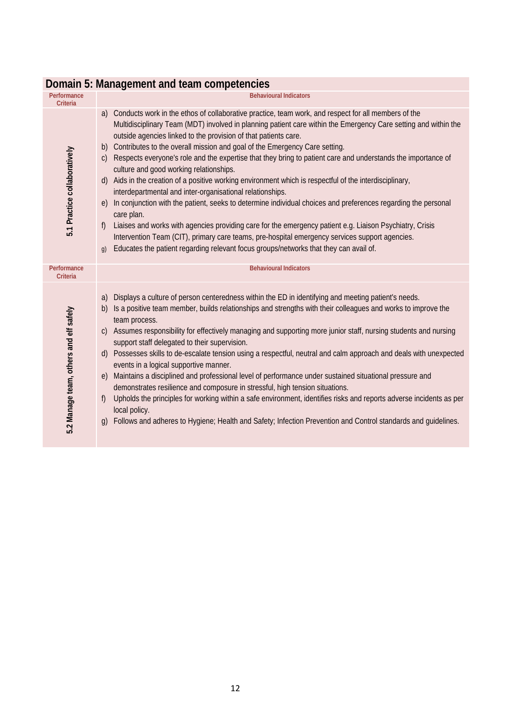|                                        | DUITIGIIT J. MIGHQYCHICHI GHU ICGHT CUMPCICHCICS                                                                                                                                                                                                                                                                                                                                                                                                                                                                                                                                                                                                                                                                                                                                                                                                                                                                                                                                                                                                                                                                                                                                                            |
|----------------------------------------|-------------------------------------------------------------------------------------------------------------------------------------------------------------------------------------------------------------------------------------------------------------------------------------------------------------------------------------------------------------------------------------------------------------------------------------------------------------------------------------------------------------------------------------------------------------------------------------------------------------------------------------------------------------------------------------------------------------------------------------------------------------------------------------------------------------------------------------------------------------------------------------------------------------------------------------------------------------------------------------------------------------------------------------------------------------------------------------------------------------------------------------------------------------------------------------------------------------|
| Performance<br><b>Criteria</b>         | <b>Behavioural Indicators</b>                                                                                                                                                                                                                                                                                                                                                                                                                                                                                                                                                                                                                                                                                                                                                                                                                                                                                                                                                                                                                                                                                                                                                                               |
| 5.1 Practice collaboratively           | Conducts work in the ethos of collaborative practice, team work, and respect for all members of the<br>a)<br>Multidisciplinary Team (MDT) involved in planning patient care within the Emergency Care setting and within the<br>outside agencies linked to the provision of that patients care.<br>Contributes to the overall mission and goal of the Emergency Care setting.<br>b)<br>Respects everyone's role and the expertise that they bring to patient care and understands the importance of<br>$\mathcal{C}$<br>culture and good working relationships.<br>Aids in the creation of a positive working environment which is respectful of the interdisciplinary,<br>(d)<br>interdepartmental and inter-organisational relationships.<br>In conjunction with the patient, seeks to determine individual choices and preferences regarding the personal<br>$\epsilon$<br>care plan.<br>Liaises and works with agencies providing care for the emergency patient e.g. Liaison Psychiatry, Crisis<br>f)<br>Intervention Team (CIT), primary care teams, pre-hospital emergency services support agencies.<br>Educates the patient regarding relevant focus groups/networks that they can avail of.<br>g) |
| Performance<br><b>Criteria</b>         | <b>Behavioural Indicators</b>                                                                                                                                                                                                                                                                                                                                                                                                                                                                                                                                                                                                                                                                                                                                                                                                                                                                                                                                                                                                                                                                                                                                                                               |
| 5.2 Manage team, others and elf safely | Displays a culture of person centeredness within the ED in identifying and meeting patient's needs.<br>a)<br>Is a positive team member, builds relationships and strengths with their colleagues and works to improve the<br>b)<br>team process.<br>c) Assumes responsibility for effectively managing and supporting more junior staff, nursing students and nursing<br>support staff delegated to their supervision.<br>d) Possesses skills to de-escalate tension using a respectful, neutral and calm approach and deals with unexpected<br>events in a logical supportive manner.<br>Maintains a disciplined and professional level of performance under sustained situational pressure and<br>$\epsilon$<br>demonstrates resilience and composure in stressful, high tension situations.<br>Upholds the principles for working within a safe environment, identifies risks and reports adverse incidents as per<br>f)<br>local policy.<br>Follows and adheres to Hygiene; Health and Safety; Infection Prevention and Control standards and quidelines.<br>$\mathfrak{g}$                                                                                                                             |

#### **Domain 5: Management and team competencies**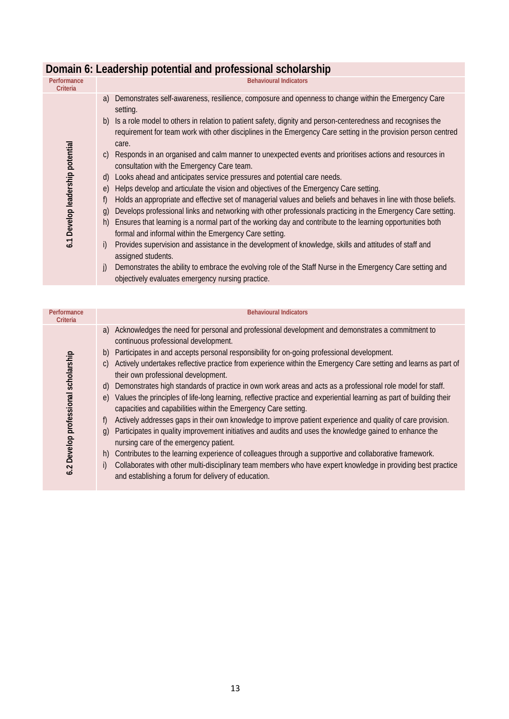| Performance<br><b>Criteria</b>   | <b>Behavioural Indicators</b>                                                                                                                                                                                                                |
|----------------------------------|----------------------------------------------------------------------------------------------------------------------------------------------------------------------------------------------------------------------------------------------|
| 6.1 Develop leadership potential | Demonstrates self-awareness, resilience, composure and openness to change within the Emergency Care<br>a)<br>setting.                                                                                                                        |
|                                  | Is a role model to others in relation to patient safety, dignity and person-centeredness and recognises the<br>b)<br>requirement for team work with other disciplines in the Emergency Care setting in the provision person centred<br>care. |
|                                  | Responds in an organised and calm manner to unexpected events and prioritises actions and resources in<br>$\mathcal{C}$<br>consultation with the Emergency Care team.                                                                        |
|                                  | Looks ahead and anticipates service pressures and potential care needs.<br>d)                                                                                                                                                                |
|                                  | Helps develop and articulate the vision and objectives of the Emergency Care setting.<br>$\epsilon$                                                                                                                                          |
|                                  | Holds an appropriate and effective set of managerial values and beliefs and behaves in line with those beliefs.<br>f)                                                                                                                        |
|                                  | Develops professional links and networking with other professionals practicing in the Emergency Care setting.<br>q)                                                                                                                          |
|                                  | Ensures that learning is a normal part of the working day and contribute to the learning opportunities both<br>h)                                                                                                                            |
|                                  | formal and informal within the Emergency Care setting.                                                                                                                                                                                       |
|                                  | Provides supervision and assistance in the development of knowledge, skills and attitudes of staff and<br>i)<br>assigned students.                                                                                                           |
|                                  | Demonstrates the ability to embrace the evolving role of the Staff Nurse in the Emergency Care setting and<br>j)<br>objectively evaluates emergency nursing practice.                                                                        |

| Performance<br>Criteria              |               | <b>Behavioural Indicators</b>                                                                                                                                                          |
|--------------------------------------|---------------|----------------------------------------------------------------------------------------------------------------------------------------------------------------------------------------|
|                                      | a)            | Acknowledges the need for personal and professional development and demonstrates a commitment to<br>continuous professional development.                                               |
|                                      | b)            | Participates in and accepts personal responsibility for on-going professional development.                                                                                             |
| 6.2 Develop professional scholarship | $\mathcal{C}$ | Actively undertakes reflective practice from experience within the Emergency Care setting and learns as part of<br>their own professional development.                                 |
|                                      | d)            | Demonstrates high standards of practice in own work areas and acts as a professional role model for staff.                                                                             |
|                                      | $\epsilon$    | Values the principles of life-long learning, reflective practice and experiential learning as part of building their<br>capacities and capabilities within the Emergency Care setting. |
|                                      | f)            | Actively addresses gaps in their own knowledge to improve patient experience and quality of care provision.                                                                            |
|                                      | $\alpha$      | Participates in quality improvement initiatives and audits and uses the knowledge gained to enhance the<br>nursing care of the emergency patient.                                      |
|                                      | h)            | Contributes to the learning experience of colleagues through a supportive and collaborative framework.                                                                                 |
|                                      | i)            | Collaborates with other multi-disciplinary team members who have expert knowledge in providing best practice<br>and establishing a forum for delivery of education.                    |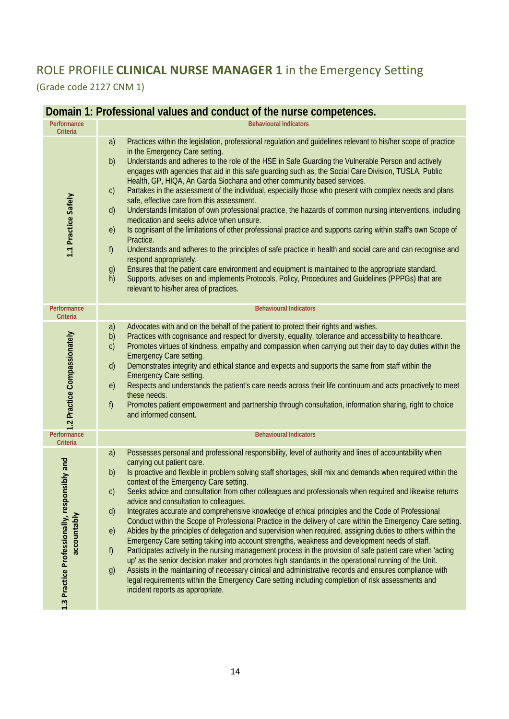## ROLE PROFILE **CLINICAL NURSE MANAGER 1** in the Emergency Setting

(Grade code 2127 CNM 1)

#### **Domain 1: Professional values and conduct of the nurse competences.**

| Performance<br><b>Criteria</b>                              | <b>Behavioural Indicators</b>                                                                                                                                                                                                                                                                                                                                                                                                                                                                                                                                                                                                                                                                                                                                                                                                                                                                                                                                                                                                                                                                                                                                                                                                                                                                                                                                                                                              |
|-------------------------------------------------------------|----------------------------------------------------------------------------------------------------------------------------------------------------------------------------------------------------------------------------------------------------------------------------------------------------------------------------------------------------------------------------------------------------------------------------------------------------------------------------------------------------------------------------------------------------------------------------------------------------------------------------------------------------------------------------------------------------------------------------------------------------------------------------------------------------------------------------------------------------------------------------------------------------------------------------------------------------------------------------------------------------------------------------------------------------------------------------------------------------------------------------------------------------------------------------------------------------------------------------------------------------------------------------------------------------------------------------------------------------------------------------------------------------------------------------|
| 1.1 Practice Safely                                         | Practices within the legislation, professional regulation and guidelines relevant to his/her scope of practice<br>a)<br>in the Emergency Care setting.<br>Understands and adheres to the role of the HSE in Safe Guarding the Vulnerable Person and actively<br>b)<br>engages with agencies that aid in this safe guarding such as, the Social Care Division, TUSLA, Public<br>Health, GP, HIQA, An Garda Siochana and other community based services.<br>Partakes in the assessment of the individual, especially those who present with complex needs and plans<br>$\mathsf{C}$<br>safe, effective care from this assessment.<br>Understands limitation of own professional practice, the hazards of common nursing interventions, including<br>$\mathsf{d}$<br>medication and seeks advice when unsure.<br>Is cognisant of the limitations of other professional practice and supports caring within staff's own Scope of<br>e)<br>Practice.<br>$f$ )<br>Understands and adheres to the principles of safe practice in health and social care and can recognise and<br>respond appropriately.<br>Ensures that the patient care environment and equipment is maintained to the appropriate standard.<br>g)<br>h)<br>Supports, advises on and implements Protocols, Policy, Procedures and Guidelines (PPPGs) that are<br>relevant to his/her area of practices.                                                          |
| Performance<br><b>Criteria</b>                              | <b>Behavioural Indicators</b>                                                                                                                                                                                                                                                                                                                                                                                                                                                                                                                                                                                                                                                                                                                                                                                                                                                                                                                                                                                                                                                                                                                                                                                                                                                                                                                                                                                              |
| 1.2 Practice Compassionately                                | Advocates with and on the behalf of the patient to protect their rights and wishes.<br>a)<br>Practices with cognisance and respect for diversity, equality, tolerance and accessibility to healthcare.<br>b)<br>Promotes virtues of kindness, empathy and compassion when carrying out their day to day duties within the<br>$\mathsf{C}$<br><b>Emergency Care setting.</b><br>Demonstrates integrity and ethical stance and expects and supports the same from staff within the<br>$\mathsf{d}$<br><b>Emergency Care setting.</b><br>Respects and understands the patient's care needs across their life continuum and acts proactively to meet<br>e)<br>these needs.<br>$f$ )<br>Promotes patient empowerment and partnership through consultation, information sharing, right to choice<br>and informed consent.                                                                                                                                                                                                                                                                                                                                                                                                                                                                                                                                                                                                        |
| Performance<br>Criteria                                     | <b>Behavioural Indicators</b>                                                                                                                                                                                                                                                                                                                                                                                                                                                                                                                                                                                                                                                                                                                                                                                                                                                                                                                                                                                                                                                                                                                                                                                                                                                                                                                                                                                              |
| 1.3 Practice Professionally, responsibly and<br>accountably | Possesses personal and professional responsibility, level of authority and lines of accountability when<br>a)<br>carrying out patient care.<br>Is proactive and flexible in problem solving staff shortages, skill mix and demands when required within the<br>b)<br>context of the Emergency Care setting.<br>Seeks advice and consultation from other colleagues and professionals when required and likewise returns<br>$\mathsf{C}$<br>advice and consultation to colleagues.<br>Integrates accurate and comprehensive knowledge of ethical principles and the Code of Professional<br>d)<br>Conduct within the Scope of Professional Practice in the delivery of care within the Emergency Care setting.<br>Abides by the principles of delegation and supervision when required, assigning duties to others within the<br>e)<br>Emergency Care setting taking into account strengths, weakness and development needs of staff.<br>Participates actively in the nursing management process in the provision of safe patient care when 'acting<br>f)<br>up' as the senior decision maker and promotes high standards in the operational running of the Unit.<br>Assists in the maintaining of necessary clinical and administrative records and ensures compliance with<br>g)<br>legal requirements within the Emergency Care setting including completion of risk assessments and<br>incident reports as appropriate. |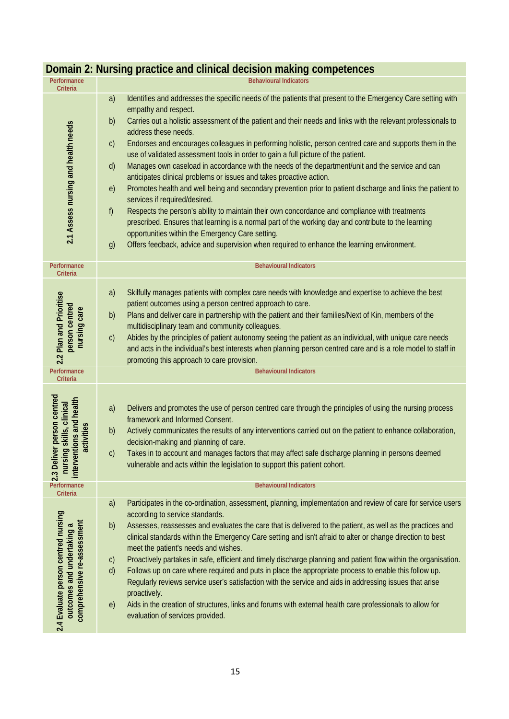| Performance<br><b>Criteria</b>                                                                            | <b>Behavioural Indicators</b>                                                                                                                                                                                                                                                                                                                                                                                                                                                                                                                                                                                                                                                                                                                                                                                                                                                                                                                                                                                                                                                                                                                                                                                           |
|-----------------------------------------------------------------------------------------------------------|-------------------------------------------------------------------------------------------------------------------------------------------------------------------------------------------------------------------------------------------------------------------------------------------------------------------------------------------------------------------------------------------------------------------------------------------------------------------------------------------------------------------------------------------------------------------------------------------------------------------------------------------------------------------------------------------------------------------------------------------------------------------------------------------------------------------------------------------------------------------------------------------------------------------------------------------------------------------------------------------------------------------------------------------------------------------------------------------------------------------------------------------------------------------------------------------------------------------------|
| 2.1 Assess nursing and health needs                                                                       | Identifies and addresses the specific needs of the patients that present to the Emergency Care setting with<br>a)<br>empathy and respect.<br>Carries out a holistic assessment of the patient and their needs and links with the relevant professionals to<br>b)<br>address these needs.<br>Endorses and encourages colleagues in performing holistic, person centred care and supports them in the<br>$\mathsf{C}$<br>use of validated assessment tools in order to gain a full picture of the patient.<br>Manages own caseload in accordance with the needs of the department/unit and the service and can<br>d)<br>anticipates clinical problems or issues and takes proactive action.<br>Promotes health and well being and secondary prevention prior to patient discharge and links the patient to<br>e)<br>services if required/desired.<br>f)<br>Respects the person's ability to maintain their own concordance and compliance with treatments<br>prescribed. Ensures that learning is a normal part of the working day and contribute to the learning<br>opportunities within the Emergency Care setting.<br>Offers feedback, advice and supervision when required to enhance the learning environment.<br>g) |
| Performance<br><b>Criteria</b>                                                                            | <b>Behavioural Indicators</b>                                                                                                                                                                                                                                                                                                                                                                                                                                                                                                                                                                                                                                                                                                                                                                                                                                                                                                                                                                                                                                                                                                                                                                                           |
| 2.2 Plan and Prioritise<br>person centred<br>nursing care                                                 | Skilfully manages patients with complex care needs with knowledge and expertise to achieve the best<br>a)<br>patient outcomes using a person centred approach to care.<br>Plans and deliver care in partnership with the patient and their families/Next of Kin, members of the<br>b)<br>multidisciplinary team and community colleagues.<br>Abides by the principles of patient autonomy seeing the patient as an individual, with unique care needs<br>$\mathsf{C}$<br>and acts in the individual's best interests when planning person centred care and is a role model to staff in<br>promoting this approach to care provision.                                                                                                                                                                                                                                                                                                                                                                                                                                                                                                                                                                                    |
| Performance<br>Criteria                                                                                   | <b>Behavioural Indicators</b>                                                                                                                                                                                                                                                                                                                                                                                                                                                                                                                                                                                                                                                                                                                                                                                                                                                                                                                                                                                                                                                                                                                                                                                           |
| liver person centred<br>entions and health<br>nursing skills, clinical<br>activities<br>interv<br>2.3 Del | Delivers and promotes the use of person centred care through the principles of using the nursing process<br>a)<br>framework and Informed Consent.<br>Actively communicates the results of any interventions carried out on the patient to enhance collaboration,<br>b)<br>decision-making and planning of care.<br>Takes in to account and manages factors that may affect safe discharge planning in persons deemed<br>$\mathsf{C}$<br>vulnerable and acts within the legislation to support this patient cohort.                                                                                                                                                                                                                                                                                                                                                                                                                                                                                                                                                                                                                                                                                                      |
| Performance<br><b>Criteria</b>                                                                            | <b>Behavioural Indicators</b>                                                                                                                                                                                                                                                                                                                                                                                                                                                                                                                                                                                                                                                                                                                                                                                                                                                                                                                                                                                                                                                                                                                                                                                           |
| 2.4 Evaluate person centred nursing<br>comprehensive re-assessment<br>outcomes and undertaking a          | Participates in the co-ordination, assessment, planning, implementation and review of care for service users<br>a)<br>according to service standards.<br>Assesses, reassesses and evaluates the care that is delivered to the patient, as well as the practices and<br>b)<br>clinical standards within the Emergency Care setting and isn't afraid to alter or change direction to best<br>meet the patient's needs and wishes.<br>Proactively partakes in safe, efficient and timely discharge planning and patient flow within the organisation.<br>$\mathsf{C}$<br>Follows up on care where required and puts in place the appropriate process to enable this follow up.<br>d)<br>Regularly reviews service user's satisfaction with the service and aids in addressing issues that arise<br>proactively.<br>Aids in the creation of structures, links and forums with external health care professionals to allow for<br>e)<br>evaluation of services provided.                                                                                                                                                                                                                                                     |

## **Domain 2: Nursing practice and clinical decision making competences**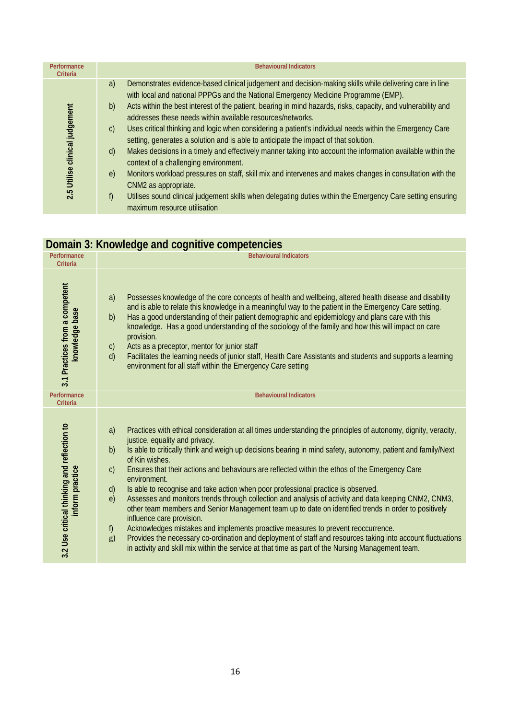| Performance<br>Criteria           | <b>Behavioural Indicators</b>                                                                                                                                                                                                                                                                                                                                                                                                                                                                                                                                                                                                                                                                                                                                                                                                                                                                                                                                                                                                                                                      |
|-----------------------------------|------------------------------------------------------------------------------------------------------------------------------------------------------------------------------------------------------------------------------------------------------------------------------------------------------------------------------------------------------------------------------------------------------------------------------------------------------------------------------------------------------------------------------------------------------------------------------------------------------------------------------------------------------------------------------------------------------------------------------------------------------------------------------------------------------------------------------------------------------------------------------------------------------------------------------------------------------------------------------------------------------------------------------------------------------------------------------------|
| Utilise clinical judgement<br>2.5 | Demonstrates evidence-based clinical judgement and decision-making skills while delivering care in line<br>a)<br>with local and national PPPGs and the National Emergency Medicine Programme (EMP).<br>Acts within the best interest of the patient, bearing in mind hazards, risks, capacity, and vulnerability and<br>b)<br>addresses these needs within available resources/networks.<br>Uses critical thinking and logic when considering a patient's individual needs within the Emergency Care<br>$\mathcal{C}$<br>setting, generates a solution and is able to anticipate the impact of that solution.<br>Makes decisions in a timely and effectively manner taking into account the information available within the<br>d)<br>context of a challenging environment.<br>Monitors workload pressures on staff, skill mix and intervenes and makes changes in consultation with the<br>$\epsilon$<br>CNM2 as appropriate.<br>Utilises sound clinical judgement skills when delegating duties within the Emergency Care setting ensuring<br>f)<br>maximum resource utilisation |

## **Domain 3: Knowledge and cognitive competencies**

| Performance<br><b>Criteria</b>                                 | <b>Behavioural Indicators</b>                                                                                                                                                                                                                                                                                                                                                                                                                                                                                                                                                                                                                                                                                                                                                                                                                                                                                                                                                                                                                                                                        |
|----------------------------------------------------------------|------------------------------------------------------------------------------------------------------------------------------------------------------------------------------------------------------------------------------------------------------------------------------------------------------------------------------------------------------------------------------------------------------------------------------------------------------------------------------------------------------------------------------------------------------------------------------------------------------------------------------------------------------------------------------------------------------------------------------------------------------------------------------------------------------------------------------------------------------------------------------------------------------------------------------------------------------------------------------------------------------------------------------------------------------------------------------------------------------|
| 3.1 Practices from a competent<br>knowledge base               | Possesses knowledge of the core concepts of health and wellbeing, altered health disease and disability<br>a)<br>and is able to relate this knowledge in a meaningful way to the patient in the Emergency Care setting.<br>Has a good understanding of their patient demographic and epidemiology and plans care with this<br>b)<br>knowledge. Has a good understanding of the sociology of the family and how this will impact on care<br>provision.<br>Acts as a preceptor, mentor for junior staff<br>$\mathsf{C}$<br>Facilitates the learning needs of junior staff, Health Care Assistants and students and supports a learning<br>d)<br>environment for all staff within the Emergency Care setting                                                                                                                                                                                                                                                                                                                                                                                            |
| Performance<br>Criteria                                        | <b>Behavioural Indicators</b>                                                                                                                                                                                                                                                                                                                                                                                                                                                                                                                                                                                                                                                                                                                                                                                                                                                                                                                                                                                                                                                                        |
| 3.2 Use critical thinking and reflection to<br>inform practice | Practices with ethical consideration at all times understanding the principles of autonomy, dignity, veracity,<br>a)<br>justice, equality and privacy.<br>Is able to critically think and weigh up decisions bearing in mind safety, autonomy, patient and family/Next<br>b)<br>of Kin wishes.<br>$\mathsf{C}$<br>Ensures that their actions and behaviours are reflected within the ethos of the Emergency Care<br>environment.<br>Is able to recognise and take action when poor professional practice is observed.<br>(d)<br>Assesses and monitors trends through collection and analysis of activity and data keeping CNM2, CNM3,<br>e)<br>other team members and Senior Management team up to date on identified trends in order to positively<br>influence care provision.<br>Acknowledges mistakes and implements proactive measures to prevent reoccurrence.<br>f)<br>Provides the necessary co-ordination and deployment of staff and resources taking into account fluctuations<br>g)<br>in activity and skill mix within the service at that time as part of the Nursing Management team. |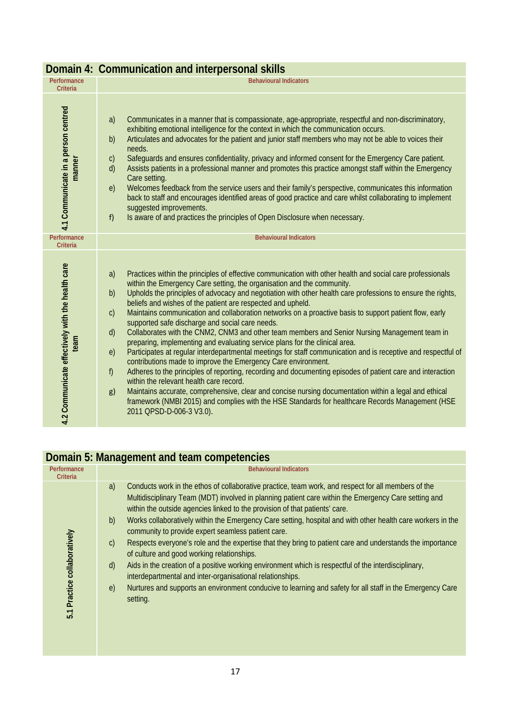|                                                          | Domain 4: Communication and interpersonal skills                                                                                                                                                                                                                                                                                                                                                                                                                                                                                                                                                                                                                                                                                                                                                                                                                                                                                                                                                                                                                                                                                                                                                                                                                                                                                                                  |
|----------------------------------------------------------|-------------------------------------------------------------------------------------------------------------------------------------------------------------------------------------------------------------------------------------------------------------------------------------------------------------------------------------------------------------------------------------------------------------------------------------------------------------------------------------------------------------------------------------------------------------------------------------------------------------------------------------------------------------------------------------------------------------------------------------------------------------------------------------------------------------------------------------------------------------------------------------------------------------------------------------------------------------------------------------------------------------------------------------------------------------------------------------------------------------------------------------------------------------------------------------------------------------------------------------------------------------------------------------------------------------------------------------------------------------------|
| Performance<br><b>Criteria</b>                           | <b>Behavioural Indicators</b>                                                                                                                                                                                                                                                                                                                                                                                                                                                                                                                                                                                                                                                                                                                                                                                                                                                                                                                                                                                                                                                                                                                                                                                                                                                                                                                                     |
| 4.1 Communicate in a person centred<br>manner            | a)<br>Communicates in a manner that is compassionate, age-appropriate, respectful and non-discriminatory,<br>exhibiting emotional intelligence for the context in which the communication occurs.<br>Articulates and advocates for the patient and junior staff members who may not be able to voices their<br>b)<br>needs.<br>$\mathsf{C}$<br>Safeguards and ensures confidentiality, privacy and informed consent for the Emergency Care patient.<br>Assists patients in a professional manner and promotes this practice amongst staff within the Emergency<br>d)<br>Care setting.<br>e)<br>Welcomes feedback from the service users and their family's perspective, communicates this information<br>back to staff and encourages identified areas of good practice and care whilst collaborating to implement<br>suggested improvements.<br>Is aware of and practices the principles of Open Disclosure when necessary.<br>f)                                                                                                                                                                                                                                                                                                                                                                                                                                |
| Performance<br><b>Criteria</b>                           | <b>Behavioural Indicators</b>                                                                                                                                                                                                                                                                                                                                                                                                                                                                                                                                                                                                                                                                                                                                                                                                                                                                                                                                                                                                                                                                                                                                                                                                                                                                                                                                     |
| 4.2 Communicate effectively with the health care<br>team | Practices within the principles of effective communication with other health and social care professionals<br>a)<br>within the Emergency Care setting, the organisation and the community.<br>Upholds the principles of advocacy and negotiation with other health care professions to ensure the rights,<br>b)<br>beliefs and wishes of the patient are respected and upheld.<br>Maintains communication and collaboration networks on a proactive basis to support patient flow, early<br>$\mathsf{C}$<br>supported safe discharge and social care needs.<br>Collaborates with the CNM2, CNM3 and other team members and Senior Nursing Management team in<br>$\mathsf{d}$<br>preparing, implementing and evaluating service plans for the clinical area.<br>Participates at regular interdepartmental meetings for staff communication and is receptive and respectful of<br>e)<br>contributions made to improve the Emergency Care environment.<br>f)<br>Adheres to the principles of reporting, recording and documenting episodes of patient care and interaction<br>within the relevant health care record.<br>Maintains accurate, comprehensive, clear and concise nursing documentation within a legal and ethical<br>g)<br>framework (NMBI 2015) and complies with the HSE Standards for healthcare Records Management (HSE<br>2011 QPSD-D-006-3 V3.0). |

#### **Domain 4: Communication and interpersonal skills**

#### **Domain 5: Management and team competencies**

| Performance<br><b>Criteria</b> | <b>Behavioural Indicators</b>                                                                                                                                                                                                                                                                                                                                                                                                                                                                                                                                                                                                                                                                                                                                                                                                                                                                                                                                                      |
|--------------------------------|------------------------------------------------------------------------------------------------------------------------------------------------------------------------------------------------------------------------------------------------------------------------------------------------------------------------------------------------------------------------------------------------------------------------------------------------------------------------------------------------------------------------------------------------------------------------------------------------------------------------------------------------------------------------------------------------------------------------------------------------------------------------------------------------------------------------------------------------------------------------------------------------------------------------------------------------------------------------------------|
| 5.1 Practice collaboratively   | Conducts work in the ethos of collaborative practice, team work, and respect for all members of the<br>a)<br>Multidisciplinary Team (MDT) involved in planning patient care within the Emergency Care setting and<br>within the outside agencies linked to the provision of that patients' care.<br>Works collaboratively within the Emergency Care setting, hospital and with other health care workers in the<br>b)<br>community to provide expert seamless patient care.<br>Respects everyone's role and the expertise that they bring to patient care and understands the importance<br>$\mathsf{C}$<br>of culture and good working relationships.<br>Aids in the creation of a positive working environment which is respectful of the interdisciplinary,<br>$\mathsf{d}$<br>interdepartmental and inter-organisational relationships.<br>Nurtures and supports an environment conducive to learning and safety for all staff in the Emergency Care<br>$\epsilon$<br>setting. |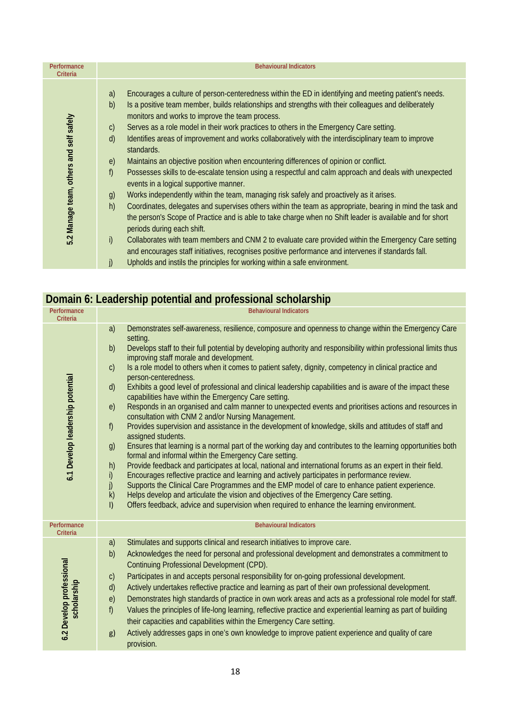| Performance<br>Criteria                 | <b>Behavioural Indicators</b>                                                                                                                                                                                                                                                                                                                                                                                                                                                                                                                                                                                                                                                                                                                                                                                                                                                                                                                                                                                                                                                                                                                                                                                                                                                                                                                                                                                                                                         |
|-----------------------------------------|-----------------------------------------------------------------------------------------------------------------------------------------------------------------------------------------------------------------------------------------------------------------------------------------------------------------------------------------------------------------------------------------------------------------------------------------------------------------------------------------------------------------------------------------------------------------------------------------------------------------------------------------------------------------------------------------------------------------------------------------------------------------------------------------------------------------------------------------------------------------------------------------------------------------------------------------------------------------------------------------------------------------------------------------------------------------------------------------------------------------------------------------------------------------------------------------------------------------------------------------------------------------------------------------------------------------------------------------------------------------------------------------------------------------------------------------------------------------------|
| 5.2 Manage team, others and self safely | Encourages a culture of person-centeredness within the ED in identifying and meeting patient's needs.<br>a)<br>Is a positive team member, builds relationships and strengths with their colleagues and deliberately<br>b)<br>monitors and works to improve the team process.<br>Serves as a role model in their work practices to others in the Emergency Care setting.<br>$\mathsf{C}$<br>Identifies areas of improvement and works collaboratively with the interdisciplinary team to improve<br>$\mathsf{d}$<br>standards.<br>Maintains an objective position when encountering differences of opinion or conflict.<br>$\epsilon$<br>f)<br>Possesses skills to de-escalate tension using a respectful and calm approach and deals with unexpected<br>events in a logical supportive manner.<br>Works independently within the team, managing risk safely and proactively as it arises.<br>g)<br>h)<br>Coordinates, delegates and supervises others within the team as appropriate, bearing in mind the task and<br>the person's Scope of Practice and is able to take charge when no Shift leader is available and for short<br>periods during each shift.<br>i)<br>Collaborates with team members and CNM 2 to evaluate care provided within the Emergency Care setting<br>and encourages staff initiatives, recognises positive performance and intervenes if standards fall.<br>Upholds and instils the principles for working within a safe environment.<br>j) |
|                                         |                                                                                                                                                                                                                                                                                                                                                                                                                                                                                                                                                                                                                                                                                                                                                                                                                                                                                                                                                                                                                                                                                                                                                                                                                                                                                                                                                                                                                                                                       |

|                                              | $\frac{1}{2}$ . The potential and professional conclusion p                                                                                                                                                                                                                                                                                                                                                                                                                                                                                                                                                                                                                                                                                                                                                                                                                                                                                                                                                                                                                                                                                                                                                                                                                                                                                                                                                                                                                                                                                                                                                                                                                 |
|----------------------------------------------|-----------------------------------------------------------------------------------------------------------------------------------------------------------------------------------------------------------------------------------------------------------------------------------------------------------------------------------------------------------------------------------------------------------------------------------------------------------------------------------------------------------------------------------------------------------------------------------------------------------------------------------------------------------------------------------------------------------------------------------------------------------------------------------------------------------------------------------------------------------------------------------------------------------------------------------------------------------------------------------------------------------------------------------------------------------------------------------------------------------------------------------------------------------------------------------------------------------------------------------------------------------------------------------------------------------------------------------------------------------------------------------------------------------------------------------------------------------------------------------------------------------------------------------------------------------------------------------------------------------------------------------------------------------------------------|
| Performance                                  | <b>Behavioural Indicators</b>                                                                                                                                                                                                                                                                                                                                                                                                                                                                                                                                                                                                                                                                                                                                                                                                                                                                                                                                                                                                                                                                                                                                                                                                                                                                                                                                                                                                                                                                                                                                                                                                                                               |
| Criteria<br>6.1 Develop leadership potential | Demonstrates self-awareness, resilience, composure and openness to change within the Emergency Care<br>a)<br>setting.<br>Develops staff to their full potential by developing authority and responsibility within professional limits thus<br>b)<br>improving staff morale and development.<br>Is a role model to others when it comes to patient safety, dignity, competency in clinical practice and<br>$\mathsf{C}$<br>person-centeredness.<br>Exhibits a good level of professional and clinical leadership capabilities and is aware of the impact these<br>$\mathsf{d}$<br>capabilities have within the Emergency Care setting.<br>Responds in an organised and calm manner to unexpected events and prioritises actions and resources in<br>e)<br>consultation with CNM 2 and/or Nursing Management.<br>Provides supervision and assistance in the development of knowledge, skills and attitudes of staff and<br>f)<br>assigned students.<br>Ensures that learning is a normal part of the working day and contributes to the learning opportunities both<br>g)<br>formal and informal within the Emergency Care setting.<br>Provide feedback and participates at local, national and international forums as an expert in their field.<br>h)<br>i)<br>Encourages reflective practice and learning and actively participates in performance review.<br>j)<br>Supports the Clinical Care Programmes and the EMP model of care to enhance patient experience.<br>k)<br>Helps develop and articulate the vision and objectives of the Emergency Care setting.<br>Offers feedback, advice and supervision when required to enhance the learning environment.<br>$\vert$ |
| Performance<br><b>Criteria</b>               | <b>Behavioural Indicators</b>                                                                                                                                                                                                                                                                                                                                                                                                                                                                                                                                                                                                                                                                                                                                                                                                                                                                                                                                                                                                                                                                                                                                                                                                                                                                                                                                                                                                                                                                                                                                                                                                                                               |
| 6.2 Develop professional<br>scholarship      | Stimulates and supports clinical and research initiatives to improve care.<br>a)<br>b)<br>Acknowledges the need for personal and professional development and demonstrates a commitment to<br>Continuing Professional Development (CPD).<br>Participates in and accepts personal responsibility for on-going professional development.<br>$\mathsf{C}$<br>Actively undertakes reflective practice and learning as part of their own professional development.<br>d)<br>Demonstrates high standards of practice in own work areas and acts as a professional role model for staff.<br>e)<br>f)<br>Values the principles of life-long learning, reflective practice and experiential learning as part of building<br>their capacities and capabilities within the Emergency Care setting.<br>Actively addresses gaps in one's own knowledge to improve patient experience and quality of care<br>g)<br>provision.                                                                                                                                                                                                                                                                                                                                                                                                                                                                                                                                                                                                                                                                                                                                                             |

#### **Domain 6: Leadership potential and professional scholarship**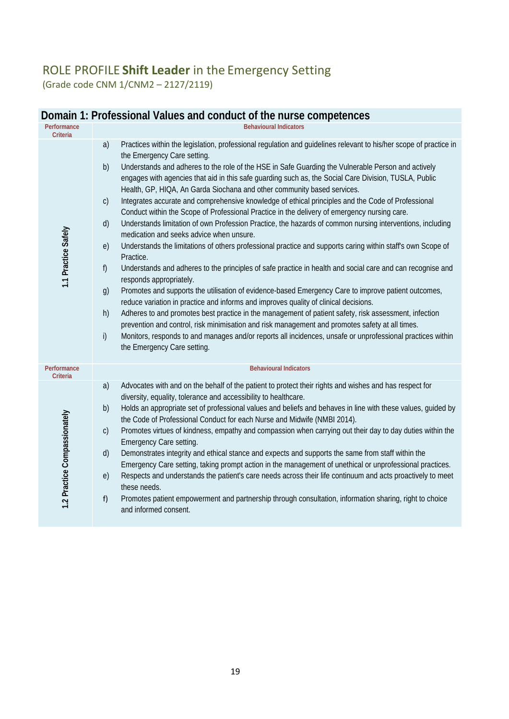## ROLE PROFILE **Shift Leader** in the Emergency Setting (Grade code CNM 1/CNM2 – 2127/2119)

|                                        | DOITIGIIT T. PTOTESSIONAL VAIUES AND CONDUCT OF THE HUISE COMPETENCES                                                                                                                                                                                                                                                                                                                                                                                                                                                                                                                                                                                                                                                                                                                                                                                                                                                                                                                                                                                                                                                                                                                                                                                                                                                                                                                                                                                                                                                                                                                                                                                                                                  |
|----------------------------------------|--------------------------------------------------------------------------------------------------------------------------------------------------------------------------------------------------------------------------------------------------------------------------------------------------------------------------------------------------------------------------------------------------------------------------------------------------------------------------------------------------------------------------------------------------------------------------------------------------------------------------------------------------------------------------------------------------------------------------------------------------------------------------------------------------------------------------------------------------------------------------------------------------------------------------------------------------------------------------------------------------------------------------------------------------------------------------------------------------------------------------------------------------------------------------------------------------------------------------------------------------------------------------------------------------------------------------------------------------------------------------------------------------------------------------------------------------------------------------------------------------------------------------------------------------------------------------------------------------------------------------------------------------------------------------------------------------------|
| Performance                            | <b>Behavioural Indicators</b>                                                                                                                                                                                                                                                                                                                                                                                                                                                                                                                                                                                                                                                                                                                                                                                                                                                                                                                                                                                                                                                                                                                                                                                                                                                                                                                                                                                                                                                                                                                                                                                                                                                                          |
| <b>Criteria</b><br>1.1 Practice Safely | Practices within the legislation, professional regulation and guidelines relevant to his/her scope of practice in<br>a)<br>the Emergency Care setting.<br>b)<br>Understands and adheres to the role of the HSE in Safe Guarding the Vulnerable Person and actively<br>engages with agencies that aid in this safe guarding such as, the Social Care Division, TUSLA, Public<br>Health, GP, HIQA, An Garda Siochana and other community based services.<br>Integrates accurate and comprehensive knowledge of ethical principles and the Code of Professional<br>$\mathsf{C}$<br>Conduct within the Scope of Professional Practice in the delivery of emergency nursing care.<br>Understands limitation of own Profession Practice, the hazards of common nursing interventions, including<br>d)<br>medication and seeks advice when unsure.<br>Understands the limitations of others professional practice and supports caring within staff's own Scope of<br>e)<br>Practice.<br>Understands and adheres to the principles of safe practice in health and social care and can recognise and<br>f)<br>responds appropriately.<br>Promotes and supports the utilisation of evidence-based Emergency Care to improve patient outcomes,<br>g)<br>reduce variation in practice and informs and improves quality of clinical decisions.<br>h)<br>Adheres to and promotes best practice in the management of patient safety, risk assessment, infection<br>prevention and control, risk minimisation and risk management and promotes safety at all times.<br>i)<br>Monitors, responds to and manages and/or reports all incidences, unsafe or unprofessional practices within<br>the Emergency Care setting. |
| Performance<br><b>Criteria</b>         | <b>Behavioural Indicators</b>                                                                                                                                                                                                                                                                                                                                                                                                                                                                                                                                                                                                                                                                                                                                                                                                                                                                                                                                                                                                                                                                                                                                                                                                                                                                                                                                                                                                                                                                                                                                                                                                                                                                          |
| 1.2 Practice Compassionately           | Advocates with and on the behalf of the patient to protect their rights and wishes and has respect for<br>a)<br>diversity, equality, tolerance and accessibility to healthcare.<br>Holds an appropriate set of professional values and beliefs and behaves in line with these values, guided by<br>b)<br>the Code of Professional Conduct for each Nurse and Midwife (NMBI 2014).<br>Promotes virtues of kindness, empathy and compassion when carrying out their day to day duties within the<br>$\mathsf{C}$<br>Emergency Care setting.<br>d)<br>Demonstrates integrity and ethical stance and expects and supports the same from staff within the<br>Emergency Care setting, taking prompt action in the management of unethical or unprofessional practices.<br>Respects and understands the patient's care needs across their life continuum and acts proactively to meet<br>e)<br>these needs.<br>Promotes patient empowerment and partnership through consultation, information sharing, right to choice<br>f)<br>and informed consent.                                                                                                                                                                                                                                                                                                                                                                                                                                                                                                                                                                                                                                                         |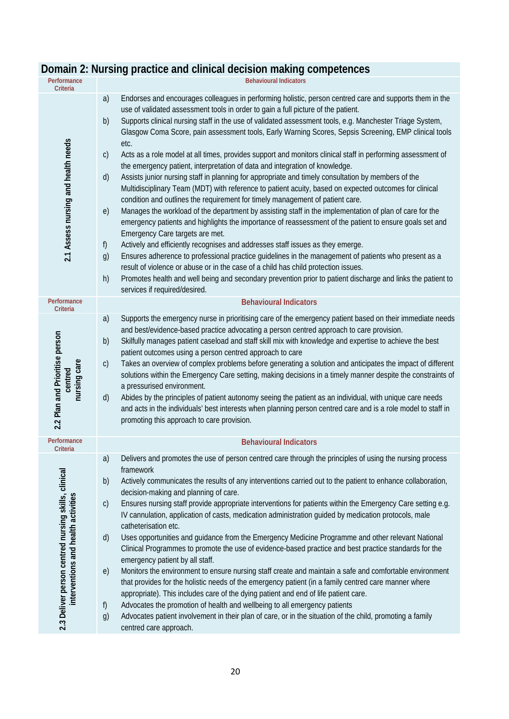| Performance<br>Criteria                                                                    | <b>Behavioural Indicators</b>                                                                                                                                                                                                                                                                                                                                                                                                                                                                                                                                                                                                                                                                                                                                                                                                                                                                                                                                                                                                                                                                                                                                                                                                                                                                                                                                                                                                                                                                                                                                                                                                                                               |
|--------------------------------------------------------------------------------------------|-----------------------------------------------------------------------------------------------------------------------------------------------------------------------------------------------------------------------------------------------------------------------------------------------------------------------------------------------------------------------------------------------------------------------------------------------------------------------------------------------------------------------------------------------------------------------------------------------------------------------------------------------------------------------------------------------------------------------------------------------------------------------------------------------------------------------------------------------------------------------------------------------------------------------------------------------------------------------------------------------------------------------------------------------------------------------------------------------------------------------------------------------------------------------------------------------------------------------------------------------------------------------------------------------------------------------------------------------------------------------------------------------------------------------------------------------------------------------------------------------------------------------------------------------------------------------------------------------------------------------------------------------------------------------------|
| 2.1 Assess nursing and health needs                                                        | Endorses and encourages colleagues in performing holistic, person centred care and supports them in the<br>a)<br>use of validated assessment tools in order to gain a full picture of the patient.<br>Supports clinical nursing staff in the use of validated assessment tools, e.g. Manchester Triage System,<br>b)<br>Glasgow Coma Score, pain assessment tools, Early Warning Scores, Sepsis Screening, EMP clinical tools<br>etc.<br>Acts as a role model at all times, provides support and monitors clinical staff in performing assessment of<br>$\mathsf{C}$<br>the emergency patient, interpretation of data and integration of knowledge.<br>Assists junior nursing staff in planning for appropriate and timely consultation by members of the<br>d)<br>Multidisciplinary Team (MDT) with reference to patient acuity, based on expected outcomes for clinical<br>condition and outlines the requirement for timely management of patient care.<br>Manages the workload of the department by assisting staff in the implementation of plan of care for the<br>e)<br>emergency patients and highlights the importance of reassessment of the patient to ensure goals set and<br>Emergency Care targets are met.<br>Actively and efficiently recognises and addresses staff issues as they emerge.<br>f)<br>Ensures adherence to professional practice guidelines in the management of patients who present as a<br>g)<br>result of violence or abuse or in the case of a child has child protection issues.<br>Promotes health and well being and secondary prevention prior to patient discharge and links the patient to<br>h)<br>services if required/desired. |
| Performance<br>Criteria                                                                    | <b>Behavioural Indicators</b>                                                                                                                                                                                                                                                                                                                                                                                                                                                                                                                                                                                                                                                                                                                                                                                                                                                                                                                                                                                                                                                                                                                                                                                                                                                                                                                                                                                                                                                                                                                                                                                                                                               |
| 2.2 Plan and Prioritise person<br>nursing care<br>centred                                  | Supports the emergency nurse in prioritising care of the emergency patient based on their immediate needs<br>a)<br>and best/evidence-based practice advocating a person centred approach to care provision.<br>Skilfully manages patient caseload and staff skill mix with knowledge and expertise to achieve the best<br>b)<br>patient outcomes using a person centred approach to care<br>Takes an overview of complex problems before generating a solution and anticipates the impact of different<br>$\mathsf{C}$<br>solutions within the Emergency Care setting, making decisions in a timely manner despite the constraints of<br>a pressurised environment.<br>Abides by the principles of patient autonomy seeing the patient as an individual, with unique care needs<br>$\mathsf{d}$<br>and acts in the individuals' best interests when planning person centred care and is a role model to staff in<br>promoting this approach to care provision.                                                                                                                                                                                                                                                                                                                                                                                                                                                                                                                                                                                                                                                                                                              |
| Performance<br>Criteria                                                                    | <b>Behavioural Indicators</b>                                                                                                                                                                                                                                                                                                                                                                                                                                                                                                                                                                                                                                                                                                                                                                                                                                                                                                                                                                                                                                                                                                                                                                                                                                                                                                                                                                                                                                                                                                                                                                                                                                               |
| 2.3 Deliver person centred nursing skills, clinical<br>interventions and health activities | Delivers and promotes the use of person centred care through the principles of using the nursing process<br>a)<br>framework<br>b)<br>Actively communicates the results of any interventions carried out to the patient to enhance collaboration,<br>decision-making and planning of care.<br>Ensures nursing staff provide appropriate interventions for patients within the Emergency Care setting e.g.<br>$\mathsf{C}$<br>IV cannulation, application of casts, medication administration guided by medication protocols, male<br>catheterisation etc.<br>Uses opportunities and guidance from the Emergency Medicine Programme and other relevant National<br>$\mathsf{d}$<br>Clinical Programmes to promote the use of evidence-based practice and best practice standards for the<br>emergency patient by all staff.<br>Monitors the environment to ensure nursing staff create and maintain a safe and comfortable environment<br>e)<br>that provides for the holistic needs of the emergency patient (in a family centred care manner where<br>appropriate). This includes care of the dying patient and end of life patient care.<br>Advocates the promotion of health and wellbeing to all emergency patients<br>f)                                                                                                                                                                                                                                                                                                                                                                                                                                                |
|                                                                                            | Advocates patient involvement in their plan of care, or in the situation of the child, promoting a family<br>g)<br>centred care approach.                                                                                                                                                                                                                                                                                                                                                                                                                                                                                                                                                                                                                                                                                                                                                                                                                                                                                                                                                                                                                                                                                                                                                                                                                                                                                                                                                                                                                                                                                                                                   |

## **Domain 2: Nursing practice and clinical decision making competences**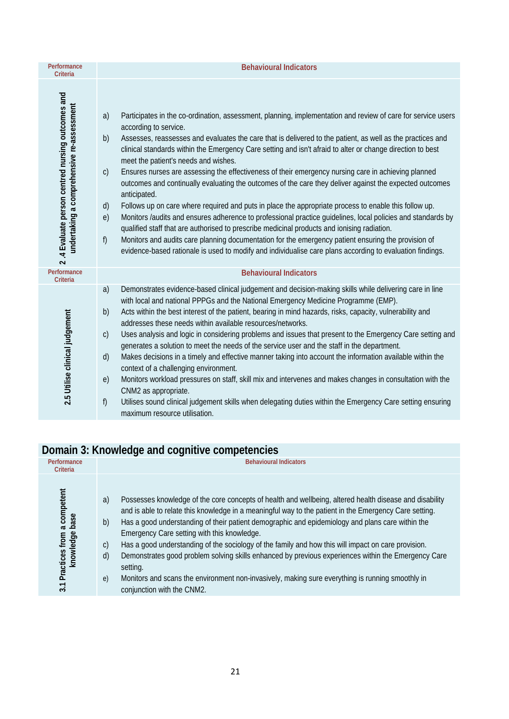| Performance<br>Criteria                                                                       | <b>Behavioural Indicators</b>                                                                                                                                                                                                                                                                                                                                                                                                                                                                                                                                                                                                                                                                                                                                                                                                                                                                                                                                                                                                                                                                                                                                                                                                                 |
|-----------------------------------------------------------------------------------------------|-----------------------------------------------------------------------------------------------------------------------------------------------------------------------------------------------------------------------------------------------------------------------------------------------------------------------------------------------------------------------------------------------------------------------------------------------------------------------------------------------------------------------------------------------------------------------------------------------------------------------------------------------------------------------------------------------------------------------------------------------------------------------------------------------------------------------------------------------------------------------------------------------------------------------------------------------------------------------------------------------------------------------------------------------------------------------------------------------------------------------------------------------------------------------------------------------------------------------------------------------|
| 2.4 Evaluate person centred nursing outcomes and<br>undertaking a comprehensive re-assessment | Participates in the co-ordination, assessment, planning, implementation and review of care for service users<br>a)<br>according to service.<br>b)<br>Assesses, reassesses and evaluates the care that is delivered to the patient, as well as the practices and<br>clinical standards within the Emergency Care setting and isn't afraid to alter or change direction to best<br>meet the patient's needs and wishes.<br>Ensures nurses are assessing the effectiveness of their emergency nursing care in achieving planned<br>$\mathsf{C}$<br>outcomes and continually evaluating the outcomes of the care they deliver against the expected outcomes<br>anticipated.<br>Follows up on care where required and puts in place the appropriate process to enable this follow up.<br>$\mathsf{d}$<br>Monitors /audits and ensures adherence to professional practice guidelines, local policies and standards by<br>e)<br>qualified staff that are authorised to prescribe medicinal products and ionising radiation.<br>f<br>Monitors and audits care planning documentation for the emergency patient ensuring the provision of<br>evidence-based rationale is used to modify and individualise care plans according to evaluation findings. |
| Performance<br>Criteria                                                                       | <b>Behavioural Indicators</b>                                                                                                                                                                                                                                                                                                                                                                                                                                                                                                                                                                                                                                                                                                                                                                                                                                                                                                                                                                                                                                                                                                                                                                                                                 |
| 2.5 Utilise clinical judgement                                                                | a)<br>Demonstrates evidence-based clinical judgement and decision-making skills while delivering care in line<br>with local and national PPPGs and the National Emergency Medicine Programme (EMP).<br>Acts within the best interest of the patient, bearing in mind hazards, risks, capacity, vulnerability and<br>b)<br>addresses these needs within available resources/networks.<br>Uses analysis and logic in considering problems and issues that present to the Emergency Care setting and<br>$\mathsf{C}$<br>generates a solution to meet the needs of the service user and the staff in the department.<br>Makes decisions in a timely and effective manner taking into account the information available within the<br>d)<br>context of a challenging environment.<br>Monitors workload pressures on staff, skill mix and intervenes and makes changes in consultation with the<br>e)<br>CNM2 as appropriate.<br>f)<br>Utilises sound clinical judgement skills when delegating duties within the Emergency Care setting ensuring<br>maximum resource utilisation.                                                                                                                                                                  |

## **Domain 3: Knowledge and cognitive competencies**

| Performance<br>Criteria                                                   | <b>Behavioural Indicators</b>                                                                                                                                                                                                                                                                                                                                                                                                                                                                                                                                                                                                                                                                                                                                                      |
|---------------------------------------------------------------------------|------------------------------------------------------------------------------------------------------------------------------------------------------------------------------------------------------------------------------------------------------------------------------------------------------------------------------------------------------------------------------------------------------------------------------------------------------------------------------------------------------------------------------------------------------------------------------------------------------------------------------------------------------------------------------------------------------------------------------------------------------------------------------------|
| a competent<br>Practices from a con<br>knowledge base<br>$\overline{3.1}$ | Possesses knowledge of the core concepts of health and wellbeing, altered health disease and disability<br>a)<br>and is able to relate this knowledge in a meaningful way to the patient in the Emergency Care setting.<br>Has a good understanding of their patient demographic and epidemiology and plans care within the<br>b)<br>Emergency Care setting with this knowledge.<br>Has a good understanding of the sociology of the family and how this will impact on care provision.<br>$\mathsf{C}$<br>Demonstrates good problem solving skills enhanced by previous experiences within the Emergency Care<br>$\mathsf{d}$<br>setting.<br>Monitors and scans the environment non-invasively, making sure everything is running smoothly in<br>e)<br>conjunction with the CNM2. |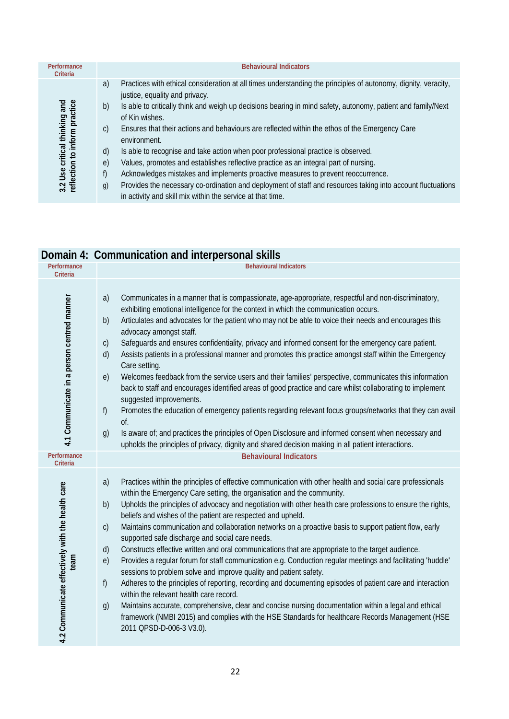| Performance<br>Criteria                                        | <b>Behavioural Indicators</b>                                                                                                                                                                                                                                                                                                                                                                                                                                                                                                                                                                                                                                                                                                                                                                                                                                                                                    |
|----------------------------------------------------------------|------------------------------------------------------------------------------------------------------------------------------------------------------------------------------------------------------------------------------------------------------------------------------------------------------------------------------------------------------------------------------------------------------------------------------------------------------------------------------------------------------------------------------------------------------------------------------------------------------------------------------------------------------------------------------------------------------------------------------------------------------------------------------------------------------------------------------------------------------------------------------------------------------------------|
| 3.2 Use critical thinking and<br>reflection to inform practice | Practices with ethical consideration at all times understanding the principles of autonomy, dignity, veracity,<br>a)<br>justice, equality and privacy.<br>Is able to critically think and weigh up decisions bearing in mind safety, autonomy, patient and family/Next<br>b)<br>of Kin wishes.<br>Ensures that their actions and behaviours are reflected within the ethos of the Emergency Care<br>$\mathsf{C}$<br>environment.<br>Is able to recognise and take action when poor professional practice is observed.<br>$\mathsf{d}$<br>Values, promotes and establishes reflective practice as an integral part of nursing.<br>e)<br>Acknowledges mistakes and implements proactive measures to prevent reoccurrence.<br>f)<br>Provides the necessary co-ordination and deployment of staff and resources taking into account fluctuations<br>g)<br>in activity and skill mix within the service at that time. |

## **Domain 4: Communication and interpersonal skills**

| Performance<br><b>Criteria</b>                            | <b>Behavioural Indicators</b>                                                                                                                                                                                                                                                                                                                                                                                                                                                                                                                                                                                                                                                                                                                                                                                                                                                                                                                                                                                                                                                                                                                                                                                                                                                  |
|-----------------------------------------------------------|--------------------------------------------------------------------------------------------------------------------------------------------------------------------------------------------------------------------------------------------------------------------------------------------------------------------------------------------------------------------------------------------------------------------------------------------------------------------------------------------------------------------------------------------------------------------------------------------------------------------------------------------------------------------------------------------------------------------------------------------------------------------------------------------------------------------------------------------------------------------------------------------------------------------------------------------------------------------------------------------------------------------------------------------------------------------------------------------------------------------------------------------------------------------------------------------------------------------------------------------------------------------------------|
| 4.1 Communicate in a person centred manner<br>Performance | Communicates in a manner that is compassionate, age-appropriate, respectful and non-discriminatory,<br>a)<br>exhibiting emotional intelligence for the context in which the communication occurs.<br>Articulates and advocates for the patient who may not be able to voice their needs and encourages this<br>b)<br>advocacy amongst staff.<br>Safeguards and ensures confidentiality, privacy and informed consent for the emergency care patient.<br>$\mathsf{C}$<br>Assists patients in a professional manner and promotes this practice amongst staff within the Emergency<br>d)<br>Care setting.<br>Welcomes feedback from the service users and their families' perspective, communicates this information<br>e)<br>back to staff and encourages identified areas of good practice and care whilst collaborating to implement<br>suggested improvements.<br>Promotes the education of emergency patients regarding relevant focus groups/networks that they can avail<br>f)<br>of.<br>Is aware of; and practices the principles of Open Disclosure and informed consent when necessary and<br>g)<br>upholds the principles of privacy, dignity and shared decision making in all patient interactions.<br><b>Behavioural Indicators</b>                                 |
| <b>Criteria</b>                                           |                                                                                                                                                                                                                                                                                                                                                                                                                                                                                                                                                                                                                                                                                                                                                                                                                                                                                                                                                                                                                                                                                                                                                                                                                                                                                |
| 4.2 Communicate effectively with the health care<br>team  | Practices within the principles of effective communication with other health and social care professionals<br>a)<br>within the Emergency Care setting, the organisation and the community.<br>Upholds the principles of advocacy and negotiation with other health care professions to ensure the rights,<br>b)<br>beliefs and wishes of the patient are respected and upheld.<br>Maintains communication and collaboration networks on a proactive basis to support patient flow, early<br>$\mathsf{C}$<br>supported safe discharge and social care needs.<br>d)<br>Constructs effective written and oral communications that are appropriate to the target audience.<br>e)<br>Provides a regular forum for staff communication e.g. Conduction regular meetings and facilitating 'huddle'<br>sessions to problem solve and improve quality and patient safety.<br>f)<br>Adheres to the principles of reporting, recording and documenting episodes of patient care and interaction<br>within the relevant health care record.<br>Maintains accurate, comprehensive, clear and concise nursing documentation within a legal and ethical<br>g)<br>framework (NMBI 2015) and complies with the HSE Standards for healthcare Records Management (HSE<br>2011 QPSD-D-006-3 V3.0). |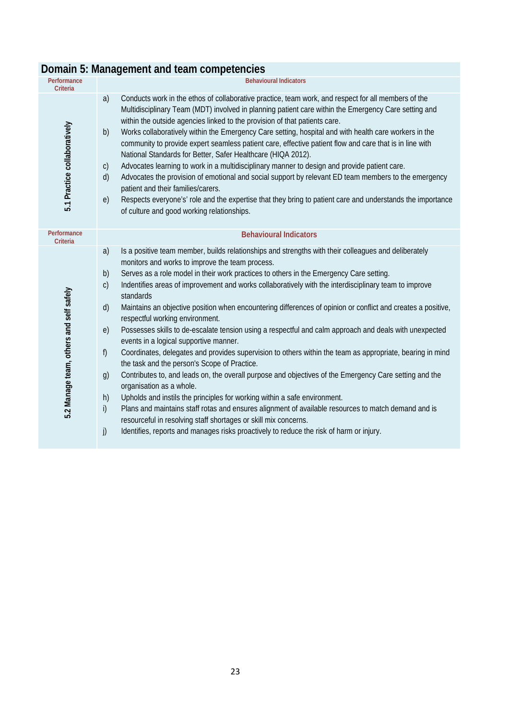|                                         | Domain 5: Management and team competencies                                                                                                                                                                                                                                                                                                                                                                                                                                                                                                                                                                                                                                                                                                                                                                                                                                                                                                                                                                                                                                                                                                                                                                                                                                                                                                                                                                 |
|-----------------------------------------|------------------------------------------------------------------------------------------------------------------------------------------------------------------------------------------------------------------------------------------------------------------------------------------------------------------------------------------------------------------------------------------------------------------------------------------------------------------------------------------------------------------------------------------------------------------------------------------------------------------------------------------------------------------------------------------------------------------------------------------------------------------------------------------------------------------------------------------------------------------------------------------------------------------------------------------------------------------------------------------------------------------------------------------------------------------------------------------------------------------------------------------------------------------------------------------------------------------------------------------------------------------------------------------------------------------------------------------------------------------------------------------------------------|
| Performance<br>Criteria                 | <b>Behavioural Indicators</b>                                                                                                                                                                                                                                                                                                                                                                                                                                                                                                                                                                                                                                                                                                                                                                                                                                                                                                                                                                                                                                                                                                                                                                                                                                                                                                                                                                              |
| 5.1 Practice collaboratively            | Conducts work in the ethos of collaborative practice, team work, and respect for all members of the<br>a)<br>Multidisciplinary Team (MDT) involved in planning patient care within the Emergency Care setting and<br>within the outside agencies linked to the provision of that patients care.<br>Works collaboratively within the Emergency Care setting, hospital and with health care workers in the<br>b)<br>community to provide expert seamless patient care, effective patient flow and care that is in line with<br>National Standards for Better, Safer Healthcare (HIQA 2012).<br>Advocates learning to work in a multidisciplinary manner to design and provide patient care.<br>C)<br>Advocates the provision of emotional and social support by relevant ED team members to the emergency<br>d)<br>patient and their families/carers.<br>Respects everyone's' role and the expertise that they bring to patient care and understands the importance<br>e)<br>of culture and good working relationships.                                                                                                                                                                                                                                                                                                                                                                                      |
| Performance<br>Criteria                 | <b>Behavioural Indicators</b>                                                                                                                                                                                                                                                                                                                                                                                                                                                                                                                                                                                                                                                                                                                                                                                                                                                                                                                                                                                                                                                                                                                                                                                                                                                                                                                                                                              |
| 5.2 Manage team, others and self safely | Is a positive team member, builds relationships and strengths with their colleagues and deliberately<br>a)<br>monitors and works to improve the team process.<br>Serves as a role model in their work practices to others in the Emergency Care setting.<br>b)<br>Indentifies areas of improvement and works collaboratively with the interdisciplinary team to improve<br>$\mathsf{C}$<br>standards<br>Maintains an objective position when encountering differences of opinion or conflict and creates a positive,<br>d)<br>respectful working environment.<br>Possesses skills to de-escalate tension using a respectful and calm approach and deals with unexpected<br>e)<br>events in a logical supportive manner.<br>Coordinates, delegates and provides supervision to others within the team as appropriate, bearing in mind<br>f)<br>the task and the person's Scope of Practice.<br>Contributes to, and leads on, the overall purpose and objectives of the Emergency Care setting and the<br>g)<br>organisation as a whole.<br>Upholds and instils the principles for working within a safe environment.<br>h)<br>Plans and maintains staff rotas and ensures alignment of available resources to match demand and is<br>i)<br>resourceful in resolving staff shortages or skill mix concerns.<br>Identifies, reports and manages risks proactively to reduce the risk of harm or injury.<br>j) |

#### **Domain 5: Management and team competencies**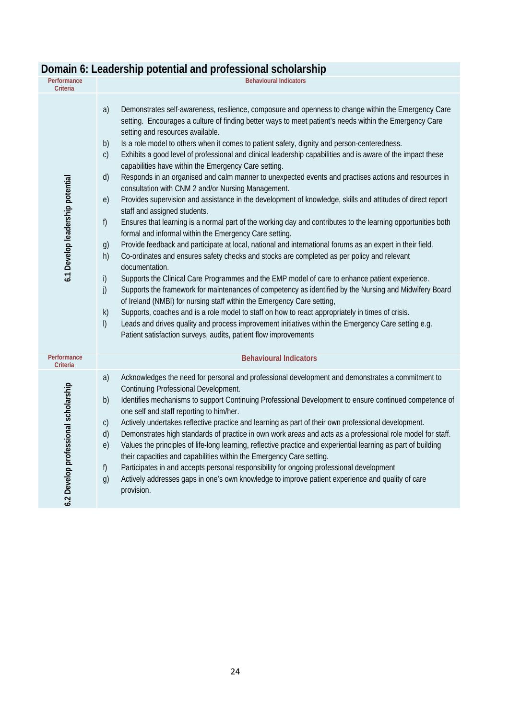| Performance<br><b>Criteria</b>       | $5.5111141$ and $p151553$<br><b>Behavioural Indicators</b>                                                                                                                                                                                                                                                                                                                                                                                                                                                                                                                                                                                                                                                                                                                                                                                                                                                                                                                                                                                                                                                                                                                                                                                                                                                                                                                                                                                                                                                                                                                                                                                                                                                                                                                                                                                                                                                 |
|--------------------------------------|------------------------------------------------------------------------------------------------------------------------------------------------------------------------------------------------------------------------------------------------------------------------------------------------------------------------------------------------------------------------------------------------------------------------------------------------------------------------------------------------------------------------------------------------------------------------------------------------------------------------------------------------------------------------------------------------------------------------------------------------------------------------------------------------------------------------------------------------------------------------------------------------------------------------------------------------------------------------------------------------------------------------------------------------------------------------------------------------------------------------------------------------------------------------------------------------------------------------------------------------------------------------------------------------------------------------------------------------------------------------------------------------------------------------------------------------------------------------------------------------------------------------------------------------------------------------------------------------------------------------------------------------------------------------------------------------------------------------------------------------------------------------------------------------------------------------------------------------------------------------------------------------------------|
| 6.1 Develop leadership potential     | Demonstrates self-awareness, resilience, composure and openness to change within the Emergency Care<br>a)<br>setting. Encourages a culture of finding better ways to meet patient's needs within the Emergency Care<br>setting and resources available.<br>Is a role model to others when it comes to patient safety, dignity and person-centeredness.<br>b)<br>$\mathsf{C}$<br>Exhibits a good level of professional and clinical leadership capabilities and is aware of the impact these<br>capabilities have within the Emergency Care setting.<br>Responds in an organised and calm manner to unexpected events and practises actions and resources in<br>d)<br>consultation with CNM 2 and/or Nursing Management.<br>Provides supervision and assistance in the development of knowledge, skills and attitudes of direct report<br>e)<br>staff and assigned students.<br>f)<br>Ensures that learning is a normal part of the working day and contributes to the learning opportunities both<br>formal and informal within the Emergency Care setting.<br>Provide feedback and participate at local, national and international forums as an expert in their field.<br>g)<br>Co-ordinates and ensures safety checks and stocks are completed as per policy and relevant<br>h)<br>documentation.<br>i)<br>Supports the Clinical Care Programmes and the EMP model of care to enhance patient experience.<br>Supports the framework for maintenances of competency as identified by the Nursing and Midwifery Board<br>j)<br>of Ireland (NMBI) for nursing staff within the Emergency Care setting,<br>Supports, coaches and is a role model to staff on how to react appropriately in times of crisis.<br>k)<br>$\mathsf{I}$<br>Leads and drives quality and process improvement initiatives within the Emergency Care setting e.g.<br>Patient satisfaction surveys, audits, patient flow improvements |
| Performance<br>Criteria              | <b>Behavioural Indicators</b>                                                                                                                                                                                                                                                                                                                                                                                                                                                                                                                                                                                                                                                                                                                                                                                                                                                                                                                                                                                                                                                                                                                                                                                                                                                                                                                                                                                                                                                                                                                                                                                                                                                                                                                                                                                                                                                                              |
| 6.2 Develop professional scholarship | a)<br>Acknowledges the need for personal and professional development and demonstrates a commitment to<br>Continuing Professional Development.<br>Identifies mechanisms to support Continuing Professional Development to ensure continued competence of<br>b)<br>one self and staff reporting to him/her.<br>Actively undertakes reflective practice and learning as part of their own professional development.<br>$\mathsf{C}$<br>d)<br>Demonstrates high standards of practice in own work areas and acts as a professional role model for staff.<br>Values the principles of life-long learning, reflective practice and experiential learning as part of building<br>e)<br>their capacities and capabilities within the Emergency Care setting.<br>Participates in and accepts personal responsibility for ongoing professional development<br>f)<br>Actively addresses gaps in one's own knowledge to improve patient experience and quality of care<br>g)<br>provision.                                                                                                                                                                                                                                                                                                                                                                                                                                                                                                                                                                                                                                                                                                                                                                                                                                                                                                                            |

## **Domain 6: Leadership potential and professional scholarship**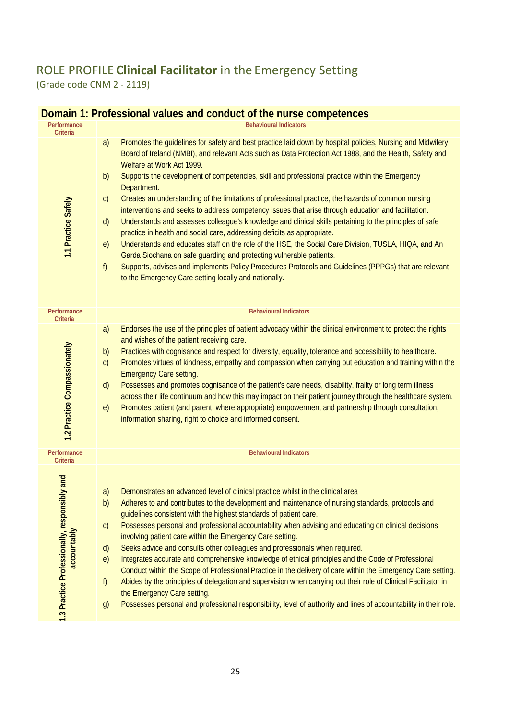## ROLE PROFILE **Clinical Facilitator** in the Emergency Setting

(Grade code CNM 2 - 2119)

| Performance<br>Criteria                                     | <b>Behavioural Indicators</b>                                                                                                                                                                                                                                                                                                                                                                                                                                                                                                                                                                                                                                                                                                                                                                                                                                                                                                                                                                                                                                                                                                                                                   |
|-------------------------------------------------------------|---------------------------------------------------------------------------------------------------------------------------------------------------------------------------------------------------------------------------------------------------------------------------------------------------------------------------------------------------------------------------------------------------------------------------------------------------------------------------------------------------------------------------------------------------------------------------------------------------------------------------------------------------------------------------------------------------------------------------------------------------------------------------------------------------------------------------------------------------------------------------------------------------------------------------------------------------------------------------------------------------------------------------------------------------------------------------------------------------------------------------------------------------------------------------------|
| 1.1 Practice Safely                                         | Promotes the guidelines for safety and best practice laid down by hospital policies, Nursing and Midwifery<br>a)<br>Board of Ireland (NMBI), and relevant Acts such as Data Protection Act 1988, and the Health, Safety and<br>Welfare at Work Act 1999.<br>Supports the development of competencies, skill and professional practice within the Emergency<br>b)<br>Department.<br>Creates an understanding of the limitations of professional practice, the hazards of common nursing<br>$\mathsf{C}$<br>interventions and seeks to address competency issues that arise through education and facilitation.<br>Understands and assesses colleague's knowledge and clinical skills pertaining to the principles of safe<br>$\mathsf{d}$<br>practice in health and social care, addressing deficits as appropriate.<br>Understands and educates staff on the role of the HSE, the Social Care Division, TUSLA, HIQA, and An<br>e)<br>Garda Siochana on safe guarding and protecting vulnerable patients.<br>Supports, advises and implements Policy Procedures Protocols and Guidelines (PPPGs) that are relevant<br>f<br>to the Emergency Care setting locally and nationally. |
| Performance<br>Criteria                                     | <b>Behavioural Indicators</b>                                                                                                                                                                                                                                                                                                                                                                                                                                                                                                                                                                                                                                                                                                                                                                                                                                                                                                                                                                                                                                                                                                                                                   |
| 1.2 Practice Compassionately                                | a)<br>Endorses the use of the principles of patient advocacy within the clinical environment to protect the rights<br>and wishes of the patient receiving care.<br>Practices with cognisance and respect for diversity, equality, tolerance and accessibility to healthcare.<br>b)<br>Promotes virtues of kindness, empathy and compassion when carrying out education and training within the<br>c)<br><b>Emergency Care setting.</b><br>Possesses and promotes cognisance of the patient's care needs, disability, frailty or long term illness<br>d)<br>across their life continuum and how this may impact on their patient journey through the healthcare system.<br>Promotes patient (and parent, where appropriate) empowerment and partnership through consultation,<br>e)<br>information sharing, right to choice and informed consent.                                                                                                                                                                                                                                                                                                                                |
| Performance<br>Criteria                                     | <b>Behavioural Indicators</b>                                                                                                                                                                                                                                                                                                                                                                                                                                                                                                                                                                                                                                                                                                                                                                                                                                                                                                                                                                                                                                                                                                                                                   |
| 1.3 Practice Professionally, responsibly and<br>accountably | Demonstrates an advanced level of clinical practice whilst in the clinical area<br>a)<br>Adheres to and contributes to the development and maintenance of nursing standards, protocols and<br>b)<br>guidelines consistent with the highest standards of patient care.<br>Possesses personal and professional accountability when advising and educating on clinical decisions<br>$\mathsf{C}$<br>involving patient care within the Emergency Care setting.<br>Seeks advice and consults other colleagues and professionals when required.<br>d)<br>Integrates accurate and comprehensive knowledge of ethical principles and the Code of Professional<br>e)<br>Conduct within the Scope of Professional Practice in the delivery of care within the Emergency Care setting.<br>Abides by the principles of delegation and supervision when carrying out their role of Clinical Facilitator in<br>f<br>the Emergency Care setting.<br>Possesses personal and professional responsibility, level of authority and lines of accountability in their role.<br>g)                                                                                                                    |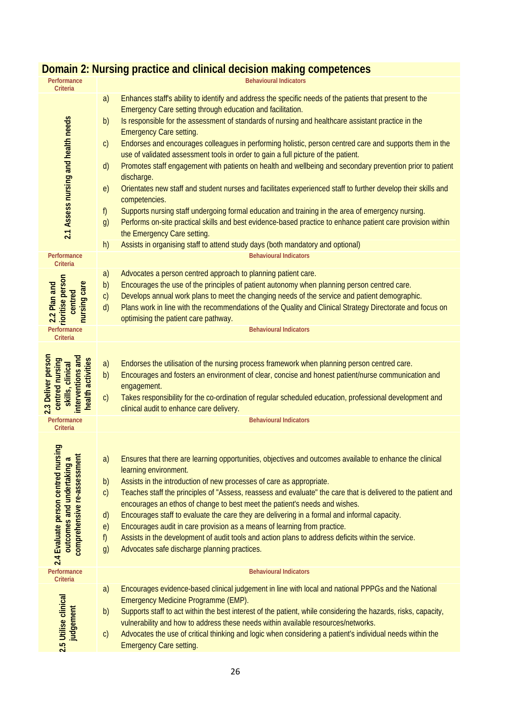| Performance<br><b>Criteria</b>                                                                              | <b>Behavioural Indicators</b>                                                                                                                                                                                                                                                                                                                                                                                                                                                                                                                                                                                                                                                                                                                                                                                                                                                                                                                                                                                                                                                                                                                                                                 |
|-------------------------------------------------------------------------------------------------------------|-----------------------------------------------------------------------------------------------------------------------------------------------------------------------------------------------------------------------------------------------------------------------------------------------------------------------------------------------------------------------------------------------------------------------------------------------------------------------------------------------------------------------------------------------------------------------------------------------------------------------------------------------------------------------------------------------------------------------------------------------------------------------------------------------------------------------------------------------------------------------------------------------------------------------------------------------------------------------------------------------------------------------------------------------------------------------------------------------------------------------------------------------------------------------------------------------|
| 2.1 Assess nursing and health needs                                                                         | Enhances staff's ability to identify and address the specific needs of the patients that present to the<br>a)<br>Emergency Care setting through education and facilitation.<br>b)<br>Is responsible for the assessment of standards of nursing and healthcare assistant practice in the<br><b>Emergency Care setting.</b><br>Endorses and encourages colleagues in performing holistic, person centred care and supports them in the<br>$\mathsf{C}$<br>use of validated assessment tools in order to gain a full picture of the patient.<br>Promotes staff engagement with patients on health and wellbeing and secondary prevention prior to patient<br>$\mathsf{d}$<br>discharge.<br>Orientates new staff and student nurses and facilitates experienced staff to further develop their skills and<br>e)<br>competencies.<br>Supports nursing staff undergoing formal education and training in the area of emergency nursing.<br>$\mathsf{f}$<br>Performs on-site practical skills and best evidence-based practice to enhance patient care provision within<br>g)<br>the Emergency Care setting.<br>h)<br>Assists in organising staff to attend study days (both mandatory and optional) |
| Performance<br><b>Criteria</b>                                                                              | <b>Behavioural Indicators</b>                                                                                                                                                                                                                                                                                                                                                                                                                                                                                                                                                                                                                                                                                                                                                                                                                                                                                                                                                                                                                                                                                                                                                                 |
| 2.2 Plan and<br>rioritise person<br>nursing care<br>centred                                                 | Advocates a person centred approach to planning patient care.<br>a)<br>Encourages the use of the principles of patient autonomy when planning person centred care.<br>b)<br>Develops annual work plans to meet the changing needs of the service and patient demographic.<br>C)<br>d)<br>Plans work in line with the recommendations of the Quality and Clinical Strategy Directorate and focus on<br>optimising the patient care pathway.                                                                                                                                                                                                                                                                                                                                                                                                                                                                                                                                                                                                                                                                                                                                                    |
| Performance<br>Criteria                                                                                     | <b>Behavioural Indicators</b>                                                                                                                                                                                                                                                                                                                                                                                                                                                                                                                                                                                                                                                                                                                                                                                                                                                                                                                                                                                                                                                                                                                                                                 |
| 2.3 Deliver person<br>interventions and<br>centred nursing<br>health activities<br>skills, clinical         | Endorses the utilisation of the nursing process framework when planning person centred care.<br>a)<br>b)<br>Encourages and fosters an environment of clear, concise and honest patient/nurse communication and<br>engagement.<br>$\mathsf{C}$<br>Takes responsibility for the co-ordination of regular scheduled education, professional development and<br>clinical audit to enhance care delivery.                                                                                                                                                                                                                                                                                                                                                                                                                                                                                                                                                                                                                                                                                                                                                                                          |
| Performance<br><b>Criteria</b>                                                                              | <b>Behavioural Indicators</b>                                                                                                                                                                                                                                                                                                                                                                                                                                                                                                                                                                                                                                                                                                                                                                                                                                                                                                                                                                                                                                                                                                                                                                 |
| <b>Buis</b><br>outcomes and undertaking a<br>comprehensive re-assessment<br>2.4 Evaluate person centred nur | Ensures that there are learning opportunities, objectives and outcomes available to enhance the clinical<br>a)<br>learning environment.<br>Assists in the introduction of new processes of care as appropriate.<br>b)<br>Teaches staff the principles of "Assess, reassess and evaluate" the care that is delivered to the patient and<br>$\mathsf{C}$<br>encourages an ethos of change to best meet the patient's needs and wishes.<br>Encourages staff to evaluate the care they are delivering in a formal and informal capacity.<br>d)<br>Encourages audit in care provision as a means of learning from practice.<br>e)<br>Assists in the development of audit tools and action plans to address deficits within the service.<br>$\mathsf{f}$<br>Advocates safe discharge planning practices.<br>g)                                                                                                                                                                                                                                                                                                                                                                                      |
| Performance<br>Criteria                                                                                     | <b>Behavioural Indicators</b>                                                                                                                                                                                                                                                                                                                                                                                                                                                                                                                                                                                                                                                                                                                                                                                                                                                                                                                                                                                                                                                                                                                                                                 |
| 2.5 Utilise clinical<br>judgement                                                                           | Encourages evidence-based clinical judgement in line with local and national PPPGs and the National<br>a)<br>Emergency Medicine Programme (EMP).<br>Supports staff to act within the best interest of the patient, while considering the hazards, risks, capacity,<br>b)<br>vulnerability and how to address these needs within available resources/networks.<br>Advocates the use of critical thinking and logic when considering a patient's individual needs within the<br>$\mathsf{C}$<br><b>Emergency Care setting.</b>                                                                                                                                                                                                                                                                                                                                                                                                                                                                                                                                                                                                                                                                  |

## **Domain 2: Nursing practice and clinical decision making competences**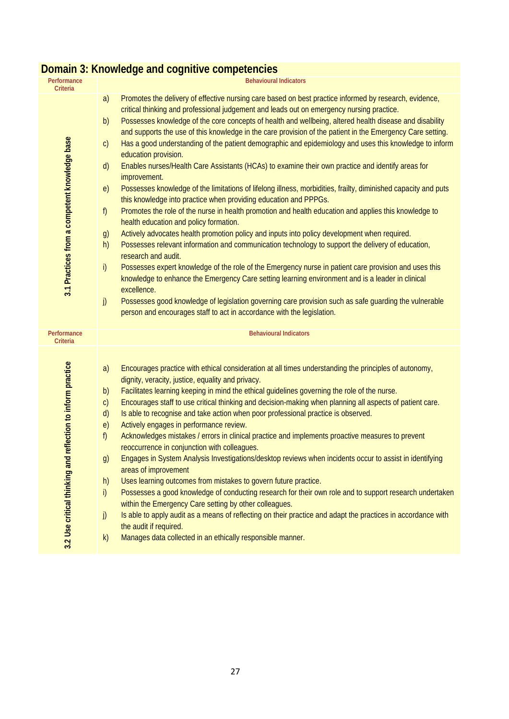|                                                                | Domain 3: Knowledge and cognitive competencies                                                                                                                                                                                                                                                                                                                                                                                                                                                                                                                                                                                                                                                                                                                                                                                                                                                                                                                                                                                                                                                                                                                                                                                                                                                                                                                                                                                                                                                                                                                                                                                                                                                                                                          |
|----------------------------------------------------------------|---------------------------------------------------------------------------------------------------------------------------------------------------------------------------------------------------------------------------------------------------------------------------------------------------------------------------------------------------------------------------------------------------------------------------------------------------------------------------------------------------------------------------------------------------------------------------------------------------------------------------------------------------------------------------------------------------------------------------------------------------------------------------------------------------------------------------------------------------------------------------------------------------------------------------------------------------------------------------------------------------------------------------------------------------------------------------------------------------------------------------------------------------------------------------------------------------------------------------------------------------------------------------------------------------------------------------------------------------------------------------------------------------------------------------------------------------------------------------------------------------------------------------------------------------------------------------------------------------------------------------------------------------------------------------------------------------------------------------------------------------------|
| Performance                                                    | <b>Behavioural Indicators</b>                                                                                                                                                                                                                                                                                                                                                                                                                                                                                                                                                                                                                                                                                                                                                                                                                                                                                                                                                                                                                                                                                                                                                                                                                                                                                                                                                                                                                                                                                                                                                                                                                                                                                                                           |
| Criteria<br>3.1 Practices from a competent knowledge base      | Promotes the delivery of effective nursing care based on best practice informed by research, evidence,<br>a)<br>critical thinking and professional judgement and leads out on emergency nursing practice.<br>Possesses knowledge of the core concepts of health and wellbeing, altered health disease and disability<br>b)<br>and supports the use of this knowledge in the care provision of the patient in the Emergency Care setting.<br>Has a good understanding of the patient demographic and epidemiology and uses this knowledge to inform<br>$\mathsf{C}$<br>education provision.<br>Enables nurses/Health Care Assistants (HCAs) to examine their own practice and identify areas for<br>$\mathsf{d}$<br>improvement.<br>Possesses knowledge of the limitations of lifelong illness, morbidities, frailty, diminished capacity and puts<br>e)<br>this knowledge into practice when providing education and PPPGs.<br>Promotes the role of the nurse in health promotion and health education and applies this knowledge to<br>f)<br>health education and policy formation.<br>Actively advocates health promotion policy and inputs into policy development when required.<br>g)<br>Possesses relevant information and communication technology to support the delivery of education,<br>h)<br>research and audit.<br>i)<br>Possesses expert knowledge of the role of the Emergency nurse in patient care provision and uses this<br>knowledge to enhance the Emergency Care setting learning environment and is a leader in clinical<br>excellence.<br>Possesses good knowledge of legislation governing care provision such as safe guarding the vulnerable<br>j)<br>person and encourages staff to act in accordance with the legislation. |
| Performance<br>Criteria                                        | <b>Behavioural Indicators</b>                                                                                                                                                                                                                                                                                                                                                                                                                                                                                                                                                                                                                                                                                                                                                                                                                                                                                                                                                                                                                                                                                                                                                                                                                                                                                                                                                                                                                                                                                                                                                                                                                                                                                                                           |
| reflection to inform practice<br>3.2 Use critical thinking and | Encourages practice with ethical consideration at all times understanding the principles of autonomy,<br>a)<br>dignity, veracity, justice, equality and privacy.<br>Facilitates learning keeping in mind the ethical guidelines governing the role of the nurse.<br>b)<br>Encourages staff to use critical thinking and decision-making when planning all aspects of patient care.<br>c)<br>Is able to recognise and take action when poor professional practice is observed.<br>d)<br>Actively engages in performance review.<br>e)<br>f)<br>Acknowledges mistakes / errors in clinical practice and implements proactive measures to prevent<br>reoccurrence in conjunction with colleagues.<br>Engages in System Analysis Investigations/desktop reviews when incidents occur to assist in identifying<br>g)<br>areas of improvement<br>Uses learning outcomes from mistakes to govern future practice.<br>h)<br>Possesses a good knowledge of conducting research for their own role and to support research undertaken<br>i)<br>within the Emergency Care setting by other colleagues.<br>Is able to apply audit as a means of reflecting on their practice and adapt the practices in accordance with<br>j)<br>the audit if required.                                                                                                                                                                                                                                                                                                                                                                                                                                                                                                             |
|                                                                | Manages data collected in an ethically responsible manner.<br>k)                                                                                                                                                                                                                                                                                                                                                                                                                                                                                                                                                                                                                                                                                                                                                                                                                                                                                                                                                                                                                                                                                                                                                                                                                                                                                                                                                                                                                                                                                                                                                                                                                                                                                        |

#### **Domain 3: Knowledge and cognitive competencies**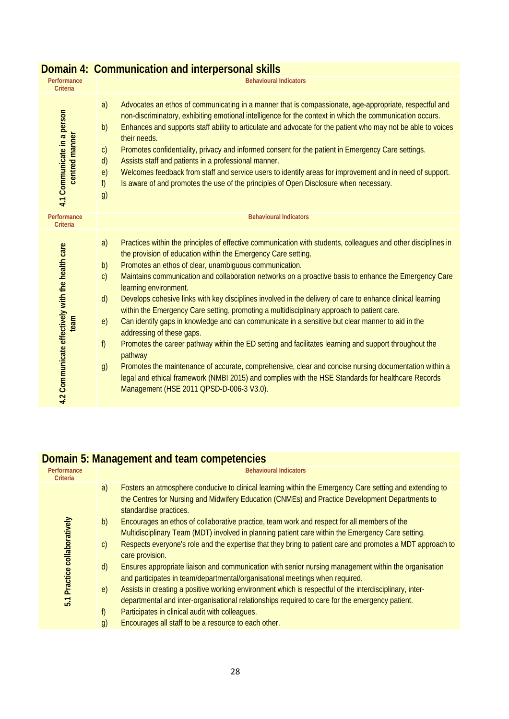| Performance<br>Criteria                                  | <u>sommandation and into poloonal onli</u><br><b>Behavioural Indicators</b>                                                                                                                                                                                                                                                                                                                                                                                                                                                                                                                                                                                                                                                                                                                                                                                                                                                                                                                                                                                                                                                                               |
|----------------------------------------------------------|-----------------------------------------------------------------------------------------------------------------------------------------------------------------------------------------------------------------------------------------------------------------------------------------------------------------------------------------------------------------------------------------------------------------------------------------------------------------------------------------------------------------------------------------------------------------------------------------------------------------------------------------------------------------------------------------------------------------------------------------------------------------------------------------------------------------------------------------------------------------------------------------------------------------------------------------------------------------------------------------------------------------------------------------------------------------------------------------------------------------------------------------------------------|
| 4.1 Communicate in a person<br>centred manner            | Advocates an ethos of communicating in a manner that is compassionate, age-appropriate, respectful and<br>a)<br>non-discriminatory, exhibiting emotional intelligence for the context in which the communication occurs.<br>Enhances and supports staff ability to articulate and advocate for the patient who may not be able to voices<br>b)<br>their needs.<br>Promotes confidentiality, privacy and informed consent for the patient in Emergency Care settings.<br>$\mathsf{C}$<br>Assists staff and patients in a professional manner.<br>$\mathsf{d}$<br>Welcomes feedback from staff and service users to identify areas for improvement and in need of support.<br>e)<br>Is aware of and promotes the use of the principles of Open Disclosure when necessary.<br>f)<br>g)                                                                                                                                                                                                                                                                                                                                                                       |
| Performance<br>Criteria                                  | <b>Behavioural Indicators</b>                                                                                                                                                                                                                                                                                                                                                                                                                                                                                                                                                                                                                                                                                                                                                                                                                                                                                                                                                                                                                                                                                                                             |
| 4.2 Communicate effectively with the health care<br>team | Practices within the principles of effective communication with students, colleagues and other disciplines in<br>a)<br>the provision of education within the Emergency Care setting.<br>Promotes an ethos of clear, unambiguous communication.<br>b)<br>Maintains communication and collaboration networks on a proactive basis to enhance the Emergency Care<br>$\mathsf{C}$<br>learning environment.<br>Develops cohesive links with key disciplines involved in the delivery of care to enhance clinical learning<br>d)<br>within the Emergency Care setting, promoting a multidisciplinary approach to patient care.<br>Can identify gaps in knowledge and can communicate in a sensitive but clear manner to aid in the<br>e)<br>addressing of these gaps.<br>f<br>Promotes the career pathway within the ED setting and facilitates learning and support throughout the<br>pathway<br>Promotes the maintenance of accurate, comprehensive, clear and concise nursing documentation within a<br>g)<br>legal and ethical framework (NMBI 2015) and complies with the HSE Standards for healthcare Records<br>Management (HSE 2011 QPSD-D-006-3 V3.0). |

#### **Domain 4: Communication and interpersonal skills**

## **Domain 5: Management and team competencies**

| Performance<br>Criteria         | <b>Behavioural Indicators</b>                                                                                                                                                                                                                                                                                                                                                                                                                                                                                                                                                                                                                                                                                                                                                                                                                                                                                                                                                                                                                                                                                                                             |
|---------------------------------|-----------------------------------------------------------------------------------------------------------------------------------------------------------------------------------------------------------------------------------------------------------------------------------------------------------------------------------------------------------------------------------------------------------------------------------------------------------------------------------------------------------------------------------------------------------------------------------------------------------------------------------------------------------------------------------------------------------------------------------------------------------------------------------------------------------------------------------------------------------------------------------------------------------------------------------------------------------------------------------------------------------------------------------------------------------------------------------------------------------------------------------------------------------|
| Practice collaboratively<br>5.1 | Fosters an atmosphere conducive to clinical learning within the Emergency Care setting and extending to<br>a)<br>the Centres for Nursing and Midwifery Education (CNMEs) and Practice Development Departments to<br>standardise practices.<br>Encourages an ethos of collaborative practice, team work and respect for all members of the<br>b)<br>Multidisciplinary Team (MDT) involved in planning patient care within the Emergency Care setting.<br>Respects everyone's role and the expertise that they bring to patient care and promotes a MDT approach to<br>$\mathsf{C}$<br>care provision.<br>d)<br>Ensures appropriate liaison and communication with senior nursing management within the organisation<br>and participates in team/departmental/organisational meetings when required.<br>Assists in creating a positive working environment which is respectful of the interdisciplinary, inter-<br>e)<br>departmental and inter-organisational relationships required to care for the emergency patient.<br>Participates in clinical audit with colleagues.<br>f)<br>Encourages all staff to be a resource to each other.<br>$\mathfrak{g}$ |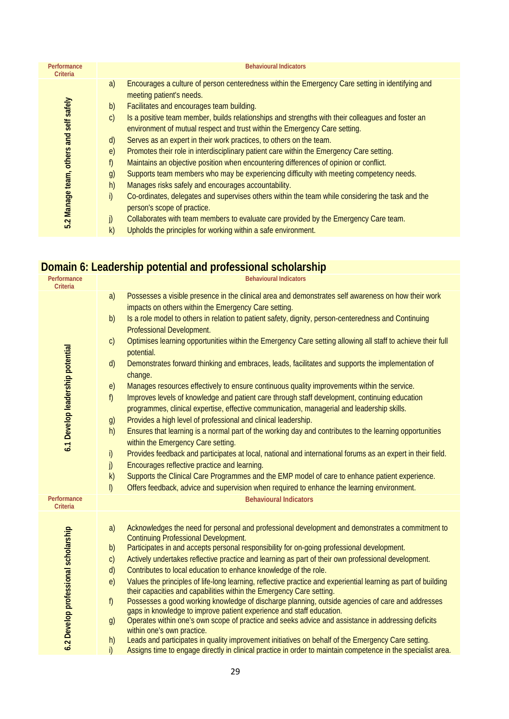| Performance<br>Criteria                 | <b>Behavioural Indicators</b>                                                                                                                                                                                                                                                                                                                                                                                                                                                                                                                                                                                                                                                                                                                                                                                                                                                                                                                                    |
|-----------------------------------------|------------------------------------------------------------------------------------------------------------------------------------------------------------------------------------------------------------------------------------------------------------------------------------------------------------------------------------------------------------------------------------------------------------------------------------------------------------------------------------------------------------------------------------------------------------------------------------------------------------------------------------------------------------------------------------------------------------------------------------------------------------------------------------------------------------------------------------------------------------------------------------------------------------------------------------------------------------------|
| 5.2 Manage team, others and self safely | Encourages a culture of person centeredness within the Emergency Care setting in identifying and<br>a)<br>meeting patient's needs.<br>Facilitates and encourages team building.<br>b)<br>Is a positive team member, builds relationships and strengths with their colleagues and foster an<br>$\mathsf{C}$<br>environment of mutual respect and trust within the Emergency Care setting.<br>Serves as an expert in their work practices, to others on the team.<br>$\mathsf{d}$<br>Promotes their role in interdisciplinary patient care within the Emergency Care setting.<br>$\epsilon$<br>f)<br>Maintains an objective position when encountering differences of opinion or conflict.<br>Supports team members who may be experiencing difficulty with meeting competency needs.<br>g)<br>h)<br>Manages risks safely and encourages accountability.<br>i)<br>Co-ordinates, delegates and supervises others within the team while considering the task and the |
|                                         | person's scope of practice.<br>Collaborates with team members to evaluate care provided by the Emergency Care team.<br>j)                                                                                                                                                                                                                                                                                                                                                                                                                                                                                                                                                                                                                                                                                                                                                                                                                                        |
|                                         | k)<br>Upholds the principles for working within a safe environment.                                                                                                                                                                                                                                                                                                                                                                                                                                                                                                                                                                                                                                                                                                                                                                                                                                                                                              |

#### **Domain 6: Leadership potential and professional scholarship**

|                                      | an'i 6. Ecader Sriip potentiar and professional senoial ship                                                                                                                                                                                                                                                                                                                                                                                                                                                                                                                                                                                                                                                                                                                                                                                                                                                                                                                                                                                                                                                                                                                                                                                                                                                                                                                                                                                                                                                  |
|--------------------------------------|---------------------------------------------------------------------------------------------------------------------------------------------------------------------------------------------------------------------------------------------------------------------------------------------------------------------------------------------------------------------------------------------------------------------------------------------------------------------------------------------------------------------------------------------------------------------------------------------------------------------------------------------------------------------------------------------------------------------------------------------------------------------------------------------------------------------------------------------------------------------------------------------------------------------------------------------------------------------------------------------------------------------------------------------------------------------------------------------------------------------------------------------------------------------------------------------------------------------------------------------------------------------------------------------------------------------------------------------------------------------------------------------------------------------------------------------------------------------------------------------------------------|
| Performance<br>Criteria              | <b>Behavioural Indicators</b>                                                                                                                                                                                                                                                                                                                                                                                                                                                                                                                                                                                                                                                                                                                                                                                                                                                                                                                                                                                                                                                                                                                                                                                                                                                                                                                                                                                                                                                                                 |
| 6.1 Develop leadership potential     | a)<br>Possesses a visible presence in the clinical area and demonstrates self awareness on how their work<br>impacts on others within the Emergency Care setting.<br>Is a role model to others in relation to patient safety, dignity, person-centeredness and Continuing<br>b)<br>Professional Development.<br>Optimises learning opportunities within the Emergency Care setting allowing all staff to achieve their full<br>c)<br>potential.<br>Demonstrates forward thinking and embraces, leads, facilitates and supports the implementation of<br>d)<br>change.<br>Manages resources effectively to ensure continuous quality improvements within the service.<br>e)<br>Improves levels of knowledge and patient care through staff development, continuing education<br>$f$ )<br>programmes, clinical expertise, effective communication, managerial and leadership skills.<br>Provides a high level of professional and clinical leadership.<br>g)<br>Ensures that learning is a normal part of the working day and contributes to the learning opportunities<br>h)<br>within the Emergency Care setting.<br>i)<br>Provides feedback and participates at local, national and international forums as an expert in their field.<br>j)<br>Encourages reflective practice and learning.<br>Supports the Clinical Care Programmes and the EMP model of care to enhance patient experience.<br>k)<br>Offers feedback, advice and supervision when required to enhance the learning environment.<br>$\vert$ |
| Performance                          | <b>Behavioural Indicators</b>                                                                                                                                                                                                                                                                                                                                                                                                                                                                                                                                                                                                                                                                                                                                                                                                                                                                                                                                                                                                                                                                                                                                                                                                                                                                                                                                                                                                                                                                                 |
| Criteria                             |                                                                                                                                                                                                                                                                                                                                                                                                                                                                                                                                                                                                                                                                                                                                                                                                                                                                                                                                                                                                                                                                                                                                                                                                                                                                                                                                                                                                                                                                                                               |
| 6.2 Develop professional scholarship | Acknowledges the need for personal and professional development and demonstrates a commitment to<br>a)<br><b>Continuing Professional Development.</b><br>Participates in and accepts personal responsibility for on-going professional development.<br>b)<br>Actively undertakes reflective practice and learning as part of their own professional development.<br>$\mathsf{C}$<br>Contributes to local education to enhance knowledge of the role.<br>d)<br>Values the principles of life-long learning, reflective practice and experiential learning as part of building<br>e)<br>their capacities and capabilities within the Emergency Care setting.<br>Possesses a good working knowledge of discharge planning, outside agencies of care and addresses<br>f<br>gaps in knowledge to improve patient experience and staff education.<br>Operates within one's own scope of practice and seeks advice and assistance in addressing deficits<br>g)<br>within one's own practice.<br>Leads and participates in quality improvement initiatives on behalf of the Emergency Care setting.<br>h)                                                                                                                                                                                                                                                                                                                                                                                                             |
|                                      | i)<br>Assigns time to engage directly in clinical practice in order to maintain competence in the specialist area.                                                                                                                                                                                                                                                                                                                                                                                                                                                                                                                                                                                                                                                                                                                                                                                                                                                                                                                                                                                                                                                                                                                                                                                                                                                                                                                                                                                            |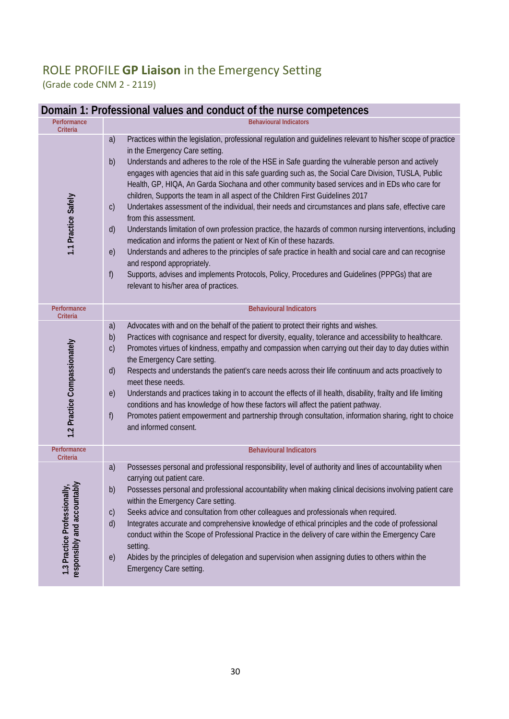## ROLE PROFILE**GP Liaison** in the Emergency Setting (Grade code CNM 2 - 2119)

#### **Domain 1: Professional values and conduct of the nurse competences**

| Performance<br><b>Criteria</b>                                       | <b>Behavioural Indicators</b>                                                                                                                                                                                                                                                                                                                                                                                                                                                                                                                                                                                                                                                                                                                                                                                                                                                                                                                                                                                                                                                                                                                                                                                          |
|----------------------------------------------------------------------|------------------------------------------------------------------------------------------------------------------------------------------------------------------------------------------------------------------------------------------------------------------------------------------------------------------------------------------------------------------------------------------------------------------------------------------------------------------------------------------------------------------------------------------------------------------------------------------------------------------------------------------------------------------------------------------------------------------------------------------------------------------------------------------------------------------------------------------------------------------------------------------------------------------------------------------------------------------------------------------------------------------------------------------------------------------------------------------------------------------------------------------------------------------------------------------------------------------------|
| 1.1 Practice Safely                                                  | Practices within the legislation, professional regulation and guidelines relevant to his/her scope of practice<br>a)<br>in the Emergency Care setting.<br>Understands and adheres to the role of the HSE in Safe quarding the vulnerable person and actively<br>b)<br>engages with agencies that aid in this safe guarding such as, the Social Care Division, TUSLA, Public<br>Health, GP, HIQA, An Garda Siochana and other community based services and in EDs who care for<br>children, Supports the team in all aspect of the Children First Guidelines 2017<br>Undertakes assessment of the individual, their needs and circumstances and plans safe, effective care<br>$\mathsf{C}$<br>from this assessment.<br>Understands limitation of own profession practice, the hazards of common nursing interventions, including<br>$\mathsf{d}$<br>medication and informs the patient or Next of Kin of these hazards.<br>Understands and adheres to the principles of safe practice in health and social care and can recognise<br>e)<br>and respond appropriately.<br>f)<br>Supports, advises and implements Protocols, Policy, Procedures and Guidelines (PPPGs) that are<br>relevant to his/her area of practices. |
| Performance<br>Criteria                                              | <b>Behavioural Indicators</b>                                                                                                                                                                                                                                                                                                                                                                                                                                                                                                                                                                                                                                                                                                                                                                                                                                                                                                                                                                                                                                                                                                                                                                                          |
| 1.2 Practice Compassionately                                         | Advocates with and on the behalf of the patient to protect their rights and wishes.<br>a)<br>Practices with cognisance and respect for diversity, equality, tolerance and accessibility to healthcare.<br>b)<br>Promotes virtues of kindness, empathy and compassion when carrying out their day to day duties within<br>$\mathsf{C}$<br>the Emergency Care setting.<br>Respects and understands the patient's care needs across their life continuum and acts proactively to<br>d)<br>meet these needs.<br>Understands and practices taking in to account the effects of ill health, disability, frailty and life limiting<br>e)<br>conditions and has knowledge of how these factors will affect the patient pathway.<br>Promotes patient empowerment and partnership through consultation, information sharing, right to choice<br>f)<br>and informed consent.                                                                                                                                                                                                                                                                                                                                                      |
| Performance<br>Criteria                                              | <b>Behavioural Indicators</b>                                                                                                                                                                                                                                                                                                                                                                                                                                                                                                                                                                                                                                                                                                                                                                                                                                                                                                                                                                                                                                                                                                                                                                                          |
| ntably<br>nally,<br>1.3 Practice Profession<br>responsibly and accou | Possesses personal and professional responsibility, level of authority and lines of accountability when<br>a)<br>carrying out patient care.<br>Possesses personal and professional accountability when making clinical decisions involving patient care<br>b)<br>within the Emergency Care setting.<br>Seeks advice and consultation from other colleagues and professionals when required.<br>$\mathsf{C}$<br>Integrates accurate and comprehensive knowledge of ethical principles and the code of professional<br>$\mathsf{d}$<br>conduct within the Scope of Professional Practice in the delivery of care within the Emergency Care<br>setting.<br>Abides by the principles of delegation and supervision when assigning duties to others within the<br>e)<br>Emergency Care setting.                                                                                                                                                                                                                                                                                                                                                                                                                             |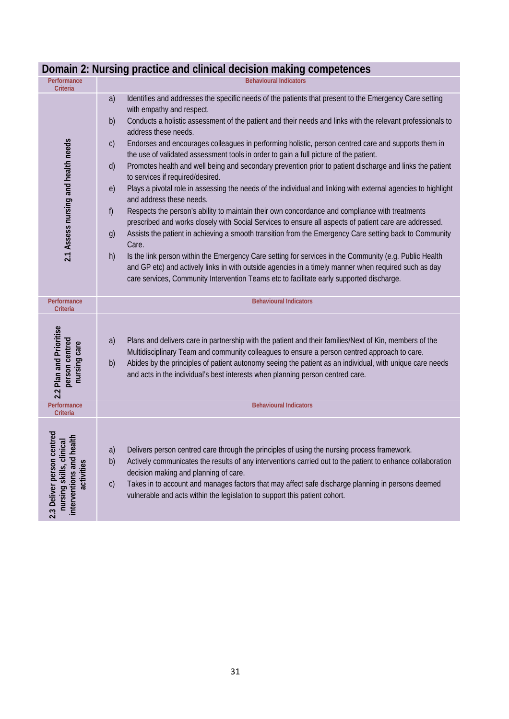| Performance<br>Criteria                                                                          | <b>Behavioural Indicators</b>                                                                                                                                                                                                                                                                                                                                                                                                                                                                                                                                                                                                                                                                                                                                                                                                                                                                                                                                                                                                                                                                                                                                                                                                                                                                                                                                                                                                                                                 |
|--------------------------------------------------------------------------------------------------|-------------------------------------------------------------------------------------------------------------------------------------------------------------------------------------------------------------------------------------------------------------------------------------------------------------------------------------------------------------------------------------------------------------------------------------------------------------------------------------------------------------------------------------------------------------------------------------------------------------------------------------------------------------------------------------------------------------------------------------------------------------------------------------------------------------------------------------------------------------------------------------------------------------------------------------------------------------------------------------------------------------------------------------------------------------------------------------------------------------------------------------------------------------------------------------------------------------------------------------------------------------------------------------------------------------------------------------------------------------------------------------------------------------------------------------------------------------------------------|
| 2.1 Assess nursing and health needs                                                              | a)<br>Identifies and addresses the specific needs of the patients that present to the Emergency Care setting<br>with empathy and respect.<br>Conducts a holistic assessment of the patient and their needs and links with the relevant professionals to<br>b)<br>address these needs.<br>Endorses and encourages colleagues in performing holistic, person centred care and supports them in<br>$\mathsf{C}$<br>the use of validated assessment tools in order to gain a full picture of the patient.<br>Promotes health and well being and secondary prevention prior to patient discharge and links the patient<br>d)<br>to services if required/desired.<br>Plays a pivotal role in assessing the needs of the individual and linking with external agencies to highlight<br>e)<br>and address these needs.<br>Respects the person's ability to maintain their own concordance and compliance with treatments<br>f)<br>prescribed and works closely with Social Services to ensure all aspects of patient care are addressed.<br>Assists the patient in achieving a smooth transition from the Emergency Care setting back to Community<br>g)<br>Care.<br>Is the link person within the Emergency Care setting for services in the Community (e.g. Public Health<br>h)<br>and GP etc) and actively links in with outside agencies in a timely manner when required such as day<br>care services, Community Intervention Teams etc to facilitate early supported discharge. |
| Performance<br><b>Criteria</b>                                                                   | <b>Behavioural Indicators</b>                                                                                                                                                                                                                                                                                                                                                                                                                                                                                                                                                                                                                                                                                                                                                                                                                                                                                                                                                                                                                                                                                                                                                                                                                                                                                                                                                                                                                                                 |
| 2.2 Plan and Prioritise<br>person centred<br>nursing care                                        | Plans and delivers care in partnership with the patient and their families/Next of Kin, members of the<br>a)<br>Multidisciplinary Team and community colleagues to ensure a person centred approach to care.<br>Abides by the principles of patient autonomy seeing the patient as an individual, with unique care needs<br>b)<br>and acts in the individual's best interests when planning person centred care.                                                                                                                                                                                                                                                                                                                                                                                                                                                                                                                                                                                                                                                                                                                                                                                                                                                                                                                                                                                                                                                              |
| Performance<br><b>Criteria</b>                                                                   | <b>Behavioural Indicators</b>                                                                                                                                                                                                                                                                                                                                                                                                                                                                                                                                                                                                                                                                                                                                                                                                                                                                                                                                                                                                                                                                                                                                                                                                                                                                                                                                                                                                                                                 |
| 2.3 Deliver person centred<br>interventions and health<br>nursing skills, clinical<br>activities | Delivers person centred care through the principles of using the nursing process framework.<br>a)<br>Actively communicates the results of any interventions carried out to the patient to enhance collaboration<br>b)<br>decision making and planning of care.<br>Takes in to account and manages factors that may affect safe discharge planning in persons deemed<br>$\mathsf{C}$<br>vulnerable and acts within the legislation to support this patient cohort.                                                                                                                                                                                                                                                                                                                                                                                                                                                                                                                                                                                                                                                                                                                                                                                                                                                                                                                                                                                                             |

## **Domain 2: Nursing practice and clinical decision making competences**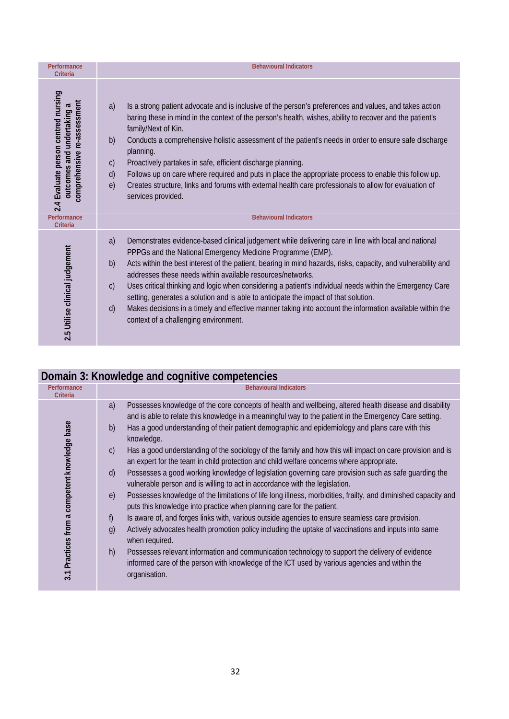| Performance<br><b>Criteria</b>                                                                      | <b>Behavioural Indicators</b>                                                                                                                                                                                                                                                                                                                                                                                                                                                                                                                                                                                                                                                                                                                                     |
|-----------------------------------------------------------------------------------------------------|-------------------------------------------------------------------------------------------------------------------------------------------------------------------------------------------------------------------------------------------------------------------------------------------------------------------------------------------------------------------------------------------------------------------------------------------------------------------------------------------------------------------------------------------------------------------------------------------------------------------------------------------------------------------------------------------------------------------------------------------------------------------|
| 2.4 Evaluate person centred nursing<br>comprehensive re-assessment<br>অ<br>outcomes and undertaking | Is a strong patient advocate and is inclusive of the person's preferences and values, and takes action<br>a)<br>baring these in mind in the context of the person's health, wishes, ability to recover and the patient's<br>family/Next of Kin.<br>b)<br>Conducts a comprehensive holistic assessment of the patient's needs in order to ensure safe discharge<br>planning.<br>Proactively partakes in safe, efficient discharge planning.<br>$\mathsf{C}$<br>Follows up on care where required and puts in place the appropriate process to enable this follow up.<br>$\mathsf{d}$<br>Creates structure, links and forums with external health care professionals to allow for evaluation of<br>e)<br>services provided.                                         |
| Performance<br><b>Criteria</b>                                                                      | <b>Behavioural Indicators</b>                                                                                                                                                                                                                                                                                                                                                                                                                                                                                                                                                                                                                                                                                                                                     |
| 2.5 Utilise clinical judgement                                                                      | Demonstrates evidence-based clinical judgement while delivering care in line with local and national<br>a)<br>PPPGs and the National Emergency Medicine Programme (EMP).<br>Acts within the best interest of the patient, bearing in mind hazards, risks, capacity, and vulnerability and<br>$\mathsf{b}$<br>addresses these needs within available resources/networks.<br>Uses critical thinking and logic when considering a patient's individual needs within the Emergency Care<br>$\mathsf{C}$<br>setting, generates a solution and is able to anticipate the impact of that solution.<br>Makes decisions in a timely and effective manner taking into account the information available within the<br>$\mathsf{d}$<br>context of a challenging environment. |

| Domain 3: Knowledge and cognitive competencies |                                                                                                                                                                                                                                                                                                                                                                                                                                                                                                                                                                                                                                                                                                                                                                                                                                                                                                                                                                                                                                                                                                                                                                                                                                                                                                                                                                                                                                                                 |  |
|------------------------------------------------|-----------------------------------------------------------------------------------------------------------------------------------------------------------------------------------------------------------------------------------------------------------------------------------------------------------------------------------------------------------------------------------------------------------------------------------------------------------------------------------------------------------------------------------------------------------------------------------------------------------------------------------------------------------------------------------------------------------------------------------------------------------------------------------------------------------------------------------------------------------------------------------------------------------------------------------------------------------------------------------------------------------------------------------------------------------------------------------------------------------------------------------------------------------------------------------------------------------------------------------------------------------------------------------------------------------------------------------------------------------------------------------------------------------------------------------------------------------------|--|
| Performance<br>Criteria                        | <b>Behavioural Indicators</b>                                                                                                                                                                                                                                                                                                                                                                                                                                                                                                                                                                                                                                                                                                                                                                                                                                                                                                                                                                                                                                                                                                                                                                                                                                                                                                                                                                                                                                   |  |
| 3.1 Practices from a competent knowledge base  | Possesses knowledge of the core concepts of health and wellbeing, altered health disease and disability<br>a)<br>and is able to relate this knowledge in a meaningful way to the patient in the Emergency Care setting.<br>Has a good understanding of their patient demographic and epidemiology and plans care with this<br>b)<br>knowledge.<br>Has a good understanding of the sociology of the family and how this will impact on care provision and is<br>$\mathsf{C}$<br>an expert for the team in child protection and child welfare concerns where appropriate.<br>Possesses a good working knowledge of legislation governing care provision such as safe quarding the<br>$\mathsf{d}$<br>vulnerable person and is willing to act in accordance with the legislation.<br>Possesses knowledge of the limitations of life long illness, morbidities, frailty, and diminished capacity and<br>e)<br>puts this knowledge into practice when planning care for the patient.<br>Is aware of, and forges links with, various outside agencies to ensure seamless care provision.<br>f)<br>Actively advocates health promotion policy including the uptake of vaccinations and inputs into same<br>$\mathfrak{g}$<br>when required.<br>Possesses relevant information and communication technology to support the delivery of evidence<br>h)<br>informed care of the person with knowledge of the ICT used by various agencies and within the<br>organisation. |  |
|                                                |                                                                                                                                                                                                                                                                                                                                                                                                                                                                                                                                                                                                                                                                                                                                                                                                                                                                                                                                                                                                                                                                                                                                                                                                                                                                                                                                                                                                                                                                 |  |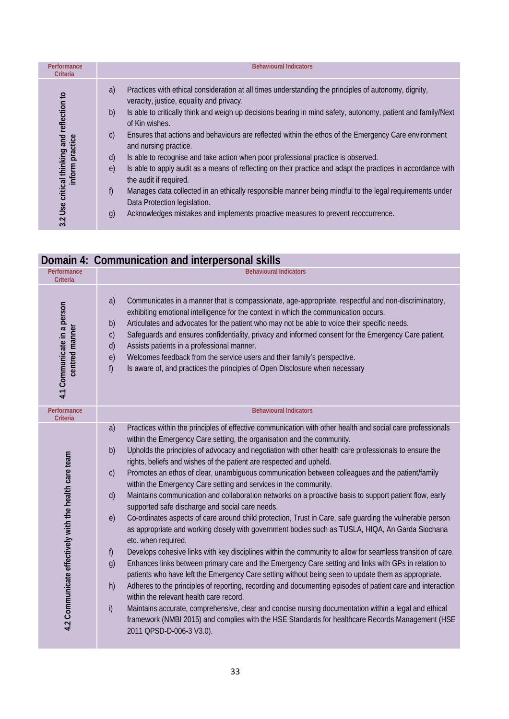| Performance<br>Criteria                                                                      | <b>Behavioural Indicators</b>                                                                                                                                                                                                                                                                                                                                                                                                                                                                                                                                                                                                                                                                                                                                                                                                                                                                                                                            |
|----------------------------------------------------------------------------------------------|----------------------------------------------------------------------------------------------------------------------------------------------------------------------------------------------------------------------------------------------------------------------------------------------------------------------------------------------------------------------------------------------------------------------------------------------------------------------------------------------------------------------------------------------------------------------------------------------------------------------------------------------------------------------------------------------------------------------------------------------------------------------------------------------------------------------------------------------------------------------------------------------------------------------------------------------------------|
| Use critical thinking and reflection to<br>inform practice<br>$\bar{\mathbf{v}}$<br>$\infty$ | Practices with ethical consideration at all times understanding the principles of autonomy, dignity,<br>a)<br>veracity, justice, equality and privacy.<br>Is able to critically think and weigh up decisions bearing in mind safety, autonomy, patient and family/Next<br>b)<br>of Kin wishes.<br>Ensures that actions and behaviours are reflected within the ethos of the Emergency Care environment<br>$\mathcal{C}$<br>and nursing practice.<br>Is able to recognise and take action when poor professional practice is observed.<br>$\mathsf{d}$<br>Is able to apply audit as a means of reflecting on their practice and adapt the practices in accordance with<br>$\epsilon$<br>the audit if required.<br>Manages data collected in an ethically responsible manner being mindful to the legal requirements under<br>f)<br>Data Protection legislation.<br>Acknowledges mistakes and implements proactive measures to prevent reoccurrence.<br>g) |

## **Domain 4: Communication and interpersonal skills**

| Performance<br><b>Criteria</b>                        | <b>Behavioural Indicators</b>                                                                                                                                                                                                                                                                                                                                                                                                                                                                                                                                                                                                                                                                                                                                                                                                                                                                                                                                                                                                                                                                                                                                                                                                                                                                                                                                                                                                                                                                                                                                                                                                                                                                                                        |
|-------------------------------------------------------|--------------------------------------------------------------------------------------------------------------------------------------------------------------------------------------------------------------------------------------------------------------------------------------------------------------------------------------------------------------------------------------------------------------------------------------------------------------------------------------------------------------------------------------------------------------------------------------------------------------------------------------------------------------------------------------------------------------------------------------------------------------------------------------------------------------------------------------------------------------------------------------------------------------------------------------------------------------------------------------------------------------------------------------------------------------------------------------------------------------------------------------------------------------------------------------------------------------------------------------------------------------------------------------------------------------------------------------------------------------------------------------------------------------------------------------------------------------------------------------------------------------------------------------------------------------------------------------------------------------------------------------------------------------------------------------------------------------------------------------|
| 4.1 Communicate in a person<br>centred manner         | Communicates in a manner that is compassionate, age-appropriate, respectful and non-discriminatory,<br>a)<br>exhibiting emotional intelligence for the context in which the communication occurs.<br>Articulates and advocates for the patient who may not be able to voice their specific needs.<br>b)<br>Safeguards and ensures confidentiality, privacy and informed consent for the Emergency Care patient.<br>$\mathsf{C}$<br>Assists patients in a professional manner.<br>d)<br>Welcomes feedback from the service users and their family's perspective.<br>e)<br>Is aware of, and practices the principles of Open Disclosure when necessary<br>f)                                                                                                                                                                                                                                                                                                                                                                                                                                                                                                                                                                                                                                                                                                                                                                                                                                                                                                                                                                                                                                                                           |
| Performance<br>Criteria                               | <b>Behavioural Indicators</b>                                                                                                                                                                                                                                                                                                                                                                                                                                                                                                                                                                                                                                                                                                                                                                                                                                                                                                                                                                                                                                                                                                                                                                                                                                                                                                                                                                                                                                                                                                                                                                                                                                                                                                        |
| 4.2 Communicate effectively with the health care team | Practices within the principles of effective communication with other health and social care professionals<br>a)<br>within the Emergency Care setting, the organisation and the community.<br>Upholds the principles of advocacy and negotiation with other health care professionals to ensure the<br>b)<br>rights, beliefs and wishes of the patient are respected and upheld.<br>Promotes an ethos of clear, unambiguous communication between colleagues and the patient/family<br>C)<br>within the Emergency Care setting and services in the community.<br>Maintains communication and collaboration networks on a proactive basis to support patient flow, early<br>d)<br>supported safe discharge and social care needs.<br>Co-ordinates aspects of care around child protection, Trust in Care, safe guarding the vulnerable person<br>e)<br>as appropriate and working closely with government bodies such as TUSLA, HIQA, An Garda Siochana<br>etc. when required.<br>Develops cohesive links with key disciplines within the community to allow for seamless transition of care.<br>f<br>Enhances links between primary care and the Emergency Care setting and links with GPs in relation to<br>g)<br>patients who have left the Emergency Care setting without being seen to update them as appropriate.<br>Adheres to the principles of reporting, recording and documenting episodes of patient care and interaction<br>h)<br>within the relevant health care record.<br>Maintains accurate, comprehensive, clear and concise nursing documentation within a legal and ethical<br>i)<br>framework (NMBI 2015) and complies with the HSE Standards for healthcare Records Management (HSE<br>2011 QPSD-D-006-3 V3.0). |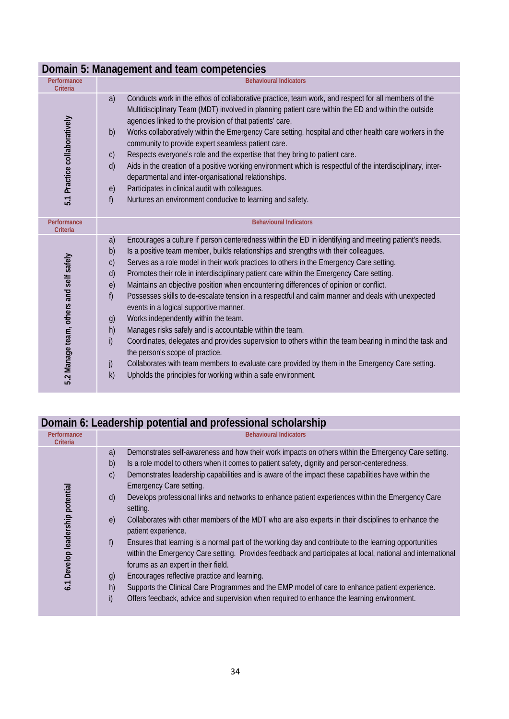|                                         | Domain 5: Management and team competencies                                                                                                                                                                                                                                                                                                                                                                                                                                                                                                                                                                                                                                                                                                                                                                                                                                                                                                                                                                                                                                                                                    |
|-----------------------------------------|-------------------------------------------------------------------------------------------------------------------------------------------------------------------------------------------------------------------------------------------------------------------------------------------------------------------------------------------------------------------------------------------------------------------------------------------------------------------------------------------------------------------------------------------------------------------------------------------------------------------------------------------------------------------------------------------------------------------------------------------------------------------------------------------------------------------------------------------------------------------------------------------------------------------------------------------------------------------------------------------------------------------------------------------------------------------------------------------------------------------------------|
| Performance<br>Criteria                 | <b>Behavioural Indicators</b>                                                                                                                                                                                                                                                                                                                                                                                                                                                                                                                                                                                                                                                                                                                                                                                                                                                                                                                                                                                                                                                                                                 |
| 5.1 Practice collaboratively            | Conducts work in the ethos of collaborative practice, team work, and respect for all members of the<br>a)<br>Multidisciplinary Team (MDT) involved in planning patient care within the ED and within the outside<br>agencies linked to the provision of that patients' care.<br>Works collaboratively within the Emergency Care setting, hospital and other health care workers in the<br>b)<br>community to provide expert seamless patient care.<br>Respects everyone's role and the expertise that they bring to patient care.<br>$\mathsf{C}$<br>Aids in the creation of a positive working environment which is respectful of the interdisciplinary, inter-<br>d)<br>departmental and inter-organisational relationships.<br>Participates in clinical audit with colleagues.<br>e)<br>Nurtures an environment conducive to learning and safety.<br>f)                                                                                                                                                                                                                                                                    |
| Performance<br><b>Criteria</b>          | <b>Behavioural Indicators</b>                                                                                                                                                                                                                                                                                                                                                                                                                                                                                                                                                                                                                                                                                                                                                                                                                                                                                                                                                                                                                                                                                                 |
| 5.2 Manage team, others and self safely | Encourages a culture if person centeredness within the ED in identifying and meeting patient's needs.<br>a)<br>Is a positive team member, builds relationships and strengths with their colleagues.<br>b)<br>Serves as a role model in their work practices to others in the Emergency Care setting.<br>$\mathsf{C}$<br>Promotes their role in interdisciplinary patient care within the Emergency Care setting.<br>d)<br>Maintains an objective position when encountering differences of opinion or conflict.<br>e)<br>Possesses skills to de-escalate tension in a respectful and calm manner and deals with unexpected<br>f)<br>events in a logical supportive manner.<br>Works independently within the team.<br>g)<br>Manages risks safely and is accountable within the team.<br>h)<br>i)<br>Coordinates, delegates and provides supervision to others within the team bearing in mind the task and<br>the person's scope of practice.<br>Collaborates with team members to evaluate care provided by them in the Emergency Care setting.<br>j)<br>Upholds the principles for working within a safe environment.<br>k) |

#### **Domain 5: Management and team competencies**

## **Domain 6: Leadership potential and professional scholarship**

| Performance<br>Criteria          | <b>Behavioural Indicators</b>                                                                                                                                                                                                                                                                                                                                                                                                                                                                                                                                                                                                                                                                                                                                                                                                                                                                                                                                                                                                                                                                                                                                              |
|----------------------------------|----------------------------------------------------------------------------------------------------------------------------------------------------------------------------------------------------------------------------------------------------------------------------------------------------------------------------------------------------------------------------------------------------------------------------------------------------------------------------------------------------------------------------------------------------------------------------------------------------------------------------------------------------------------------------------------------------------------------------------------------------------------------------------------------------------------------------------------------------------------------------------------------------------------------------------------------------------------------------------------------------------------------------------------------------------------------------------------------------------------------------------------------------------------------------|
| 6.1 Develop leadership potential | Demonstrates self-awareness and how their work impacts on others within the Emergency Care setting.<br>a)<br>Is a role model to others when it comes to patient safety, dignity and person-centeredness.<br>b)<br>Demonstrates leadership capabilities and is aware of the impact these capabilities have within the<br>$\mathsf{C}$<br>Emergency Care setting.<br>Develops professional links and networks to enhance patient experiences within the Emergency Care<br>(d)<br>setting.<br>Collaborates with other members of the MDT who are also experts in their disciplines to enhance the<br>$\epsilon$<br>patient experience.<br>Ensures that learning is a normal part of the working day and contribute to the learning opportunities<br>f)<br>within the Emergency Care setting. Provides feedback and participates at local, national and international<br>forums as an expert in their field.<br>Encourages reflective practice and learning.<br>g)<br>h)<br>Supports the Clinical Care Programmes and the EMP model of care to enhance patient experience.<br>i)<br>Offers feedback, advice and supervision when required to enhance the learning environment. |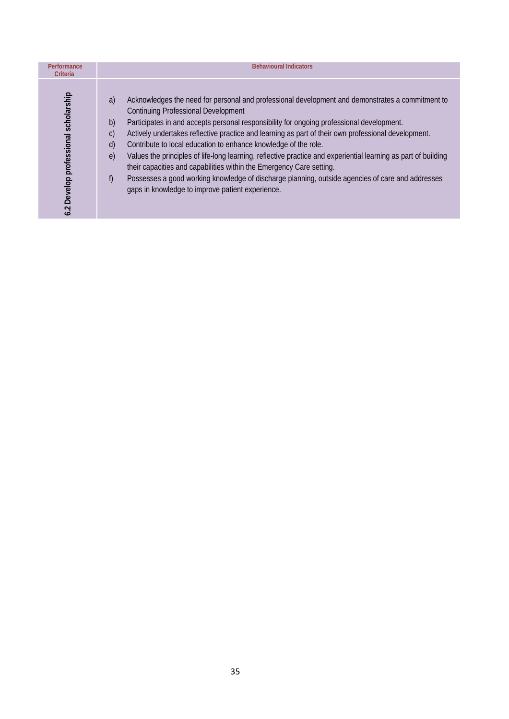| Performance<br>Criteria              | <b>Behavioural Indicators</b>                                                                                                                                                                                                                                                                                                                                                                                                                                                                                                                                                                                                                                                                                                                                                                                                 |
|--------------------------------------|-------------------------------------------------------------------------------------------------------------------------------------------------------------------------------------------------------------------------------------------------------------------------------------------------------------------------------------------------------------------------------------------------------------------------------------------------------------------------------------------------------------------------------------------------------------------------------------------------------------------------------------------------------------------------------------------------------------------------------------------------------------------------------------------------------------------------------|
| 6.2 Develop professional scholarship | Acknowledges the need for personal and professional development and demonstrates a commitment to<br>a)<br><b>Continuing Professional Development</b><br>Participates in and accepts personal responsibility for ongoing professional development.<br>b)<br>Actively undertakes reflective practice and learning as part of their own professional development.<br>$\mathsf{C}$<br>d)<br>Contribute to local education to enhance knowledge of the role.<br>Values the principles of life-long learning, reflective practice and experiential learning as part of building<br>$\epsilon$<br>their capacities and capabilities within the Emergency Care setting.<br>Possesses a good working knowledge of discharge planning, outside agencies of care and addresses<br>f)<br>gaps in knowledge to improve patient experience. |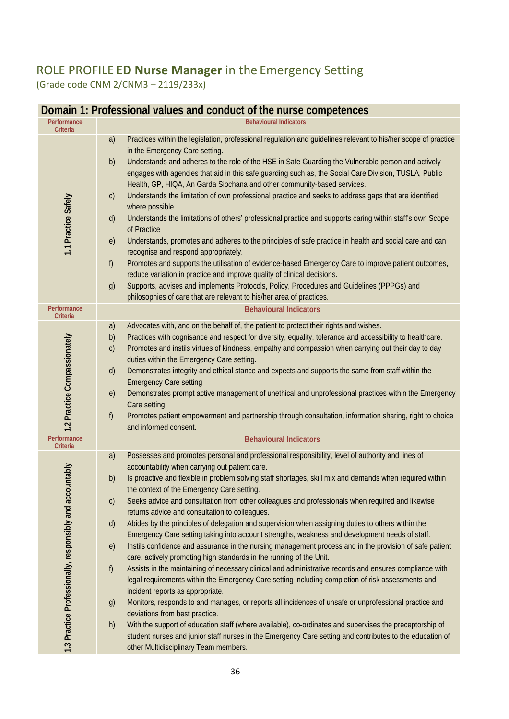## ROLE PROFILE **ED Nurse Manager** in the Emergency Setting (Grade code CNM 2/CNM3 – 2119/233x)

| Performance<br><b>Criteria</b>                           | <b>Behavioural Indicators</b>                                                                                                                                                                                                                                                                                                                                                                                                                                                                                                                                                                                                                                                                                                                                                                                                                                                                                                                                                                                                                                                                                                                                                                                                                                                                                                                                                                                                                                                                                                                         |
|----------------------------------------------------------|-------------------------------------------------------------------------------------------------------------------------------------------------------------------------------------------------------------------------------------------------------------------------------------------------------------------------------------------------------------------------------------------------------------------------------------------------------------------------------------------------------------------------------------------------------------------------------------------------------------------------------------------------------------------------------------------------------------------------------------------------------------------------------------------------------------------------------------------------------------------------------------------------------------------------------------------------------------------------------------------------------------------------------------------------------------------------------------------------------------------------------------------------------------------------------------------------------------------------------------------------------------------------------------------------------------------------------------------------------------------------------------------------------------------------------------------------------------------------------------------------------------------------------------------------------|
| 1.1 Practice Safely                                      | Practices within the legislation, professional regulation and guidelines relevant to his/her scope of practice<br>a)<br>in the Emergency Care setting.<br>Understands and adheres to the role of the HSE in Safe Guarding the Vulnerable person and actively<br>b)<br>engages with agencies that aid in this safe guarding such as, the Social Care Division, TUSLA, Public<br>Health, GP, HIQA, An Garda Siochana and other community-based services.<br>Understands the limitation of own professional practice and seeks to address gaps that are identified<br>$\mathsf{C}$<br>where possible.<br>Understands the limitations of others' professional practice and supports caring within staff's own Scope<br>d)<br>of Practice<br>Understands, promotes and adheres to the principles of safe practice in health and social care and can<br>e)<br>recognise and respond appropriately.<br>f)<br>Promotes and supports the utilisation of evidence-based Emergency Care to improve patient outcomes,<br>reduce variation in practice and improve quality of clinical decisions.<br>Supports, advises and implements Protocols, Policy, Procedures and Guidelines (PPPGs) and<br>g)<br>philosophies of care that are relevant to his/her area of practices.                                                                                                                                                                                                                                                                                       |
| Performance<br>Criteria                                  | <b>Behavioural Indicators</b>                                                                                                                                                                                                                                                                                                                                                                                                                                                                                                                                                                                                                                                                                                                                                                                                                                                                                                                                                                                                                                                                                                                                                                                                                                                                                                                                                                                                                                                                                                                         |
| 1.2 Practice Compassionately                             | Advocates with, and on the behalf of, the patient to protect their rights and wishes.<br>a)<br>Practices with cognisance and respect for diversity, equality, tolerance and accessibility to healthcare.<br>b)<br>Promotes and instils virtues of kindness, empathy and compassion when carrying out their day to day<br>$\mathsf{C}$<br>duties within the Emergency Care setting.<br>Demonstrates integrity and ethical stance and expects and supports the same from staff within the<br>d)<br><b>Emergency Care setting</b><br>Demonstrates prompt active management of unethical and unprofessional practices within the Emergency<br>e)<br>Care setting.<br>Promotes patient empowerment and partnership through consultation, information sharing, right to choice<br>f<br>and informed consent.                                                                                                                                                                                                                                                                                                                                                                                                                                                                                                                                                                                                                                                                                                                                                |
| Performance<br><b>Criteria</b>                           | <b>Behavioural Indicators</b>                                                                                                                                                                                                                                                                                                                                                                                                                                                                                                                                                                                                                                                                                                                                                                                                                                                                                                                                                                                                                                                                                                                                                                                                                                                                                                                                                                                                                                                                                                                         |
| 1.3 Practice Professionally, responsibly and accountably | a)<br>Possesses and promotes personal and professional responsibility, level of authority and lines of<br>accountability when carrying out patient care.<br>Is proactive and flexible in problem solving staff shortages, skill mix and demands when required within<br>b)<br>the context of the Emergency Care setting.<br>Seeks advice and consultation from other colleagues and professionals when required and likewise<br>$\mathsf{C}$<br>returns advice and consultation to colleagues.<br>Abides by the principles of delegation and supervision when assigning duties to others within the<br>$\mathsf{d}$<br>Emergency Care setting taking into account strengths, weakness and development needs of staff.<br>Instils confidence and assurance in the nursing management process and in the provision of safe patient<br>e)<br>care, actively promoting high standards in the running of the Unit.<br>Assists in the maintaining of necessary clinical and administrative records and ensures compliance with<br>f)<br>legal requirements within the Emergency Care setting including completion of risk assessments and<br>incident reports as appropriate.<br>Monitors, responds to and manages, or reports all incidences of unsafe or unprofessional practice and<br>g)<br>deviations from best practice.<br>With the support of education staff (where available), co-ordinates and supervises the preceptorship of<br>h)<br>student nurses and junior staff nurses in the Emergency Care setting and contributes to the education of |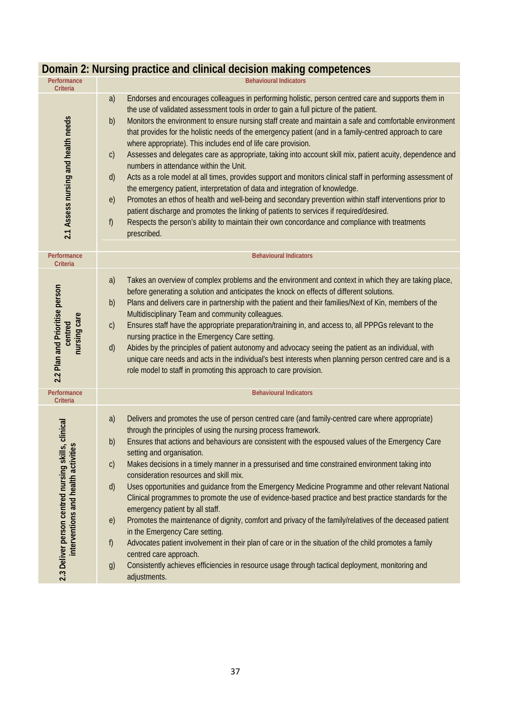| Performance<br>Criteria                                                                        | <b>Behavioural Indicators</b>                                                                                                                                                                                                                                                                                                                                                                                                                                                                                                                                                                                                                                                                                                                                                                                                                                                                                                                                                                                                                                                                                                                                                                                           |
|------------------------------------------------------------------------------------------------|-------------------------------------------------------------------------------------------------------------------------------------------------------------------------------------------------------------------------------------------------------------------------------------------------------------------------------------------------------------------------------------------------------------------------------------------------------------------------------------------------------------------------------------------------------------------------------------------------------------------------------------------------------------------------------------------------------------------------------------------------------------------------------------------------------------------------------------------------------------------------------------------------------------------------------------------------------------------------------------------------------------------------------------------------------------------------------------------------------------------------------------------------------------------------------------------------------------------------|
| 2.1 Assess nursing and health needs                                                            | Endorses and encourages colleagues in performing holistic, person centred care and supports them in<br>a)<br>the use of validated assessment tools in order to gain a full picture of the patient.<br>Monitors the environment to ensure nursing staff create and maintain a safe and comfortable environment<br>b)<br>that provides for the holistic needs of the emergency patient (and in a family-centred approach to care<br>where appropriate). This includes end of life care provision.<br>Assesses and delegates care as appropriate, taking into account skill mix, patient acuity, dependence and<br>$\mathsf{C}$<br>numbers in attendance within the Unit.<br>Acts as a role model at all times, provides support and monitors clinical staff in performing assessment of<br>$\mathsf{d}$<br>the emergency patient, interpretation of data and integration of knowledge.<br>Promotes an ethos of health and well-being and secondary prevention within staff interventions prior to<br>e)<br>patient discharge and promotes the linking of patients to services if required/desired.<br>Respects the person's ability to maintain their own concordance and compliance with treatments<br>f)<br>prescribed. |
| Performance<br>Criteria                                                                        | <b>Behavioural Indicators</b>                                                                                                                                                                                                                                                                                                                                                                                                                                                                                                                                                                                                                                                                                                                                                                                                                                                                                                                                                                                                                                                                                                                                                                                           |
| 2.2 Plan and Prioritise person<br>nursing care<br>centred                                      | Takes an overview of complex problems and the environment and context in which they are taking place,<br>a)<br>before generating a solution and anticipates the knock on effects of different solutions.<br>Plans and delivers care in partnership with the patient and their families/Next of Kin, members of the<br>b)<br>Multidisciplinary Team and community colleagues.<br>Ensures staff have the appropriate preparation/training in, and access to, all PPPGs relevant to the<br>$\mathsf{C}$<br>nursing practice in the Emergency Care setting.<br>Abides by the principles of patient autonomy and advocacy seeing the patient as an individual, with<br>$\mathsf{d}$<br>unique care needs and acts in the individual's best interests when planning person centred care and is a<br>role model to staff in promoting this approach to care provision.                                                                                                                                                                                                                                                                                                                                                         |
| Performance<br><b>Criteria</b>                                                                 | <b>Behavioural Indicators</b>                                                                                                                                                                                                                                                                                                                                                                                                                                                                                                                                                                                                                                                                                                                                                                                                                                                                                                                                                                                                                                                                                                                                                                                           |
| 2.3 Deliver person centred nursing skills, clinical<br>ties<br>interventions and health activi | Delivers and promotes the use of person centred care (and family-centred care where appropriate)<br>a)<br>through the principles of using the nursing process framework.<br>Ensures that actions and behaviours are consistent with the espoused values of the Emergency Care<br>b)<br>setting and organisation.<br>Makes decisions in a timely manner in a pressurised and time constrained environment taking into<br>$\mathsf{C}$<br>consideration resources and skill mix.<br>Uses opportunities and guidance from the Emergency Medicine Programme and other relevant National<br>$\mathsf{d}$<br>Clinical programmes to promote the use of evidence-based practice and best practice standards for the<br>emergency patient by all staff.<br>Promotes the maintenance of dignity, comfort and privacy of the family/relatives of the deceased patient<br>e)<br>in the Emergency Care setting.<br>f)<br>Advocates patient involvement in their plan of care or in the situation of the child promotes a family<br>centred care approach.<br>Consistently achieves efficiencies in resource usage through tactical deployment, monitoring and<br>g)<br>adjustments.                                                 |

#### **Domain 2: Nursing practice and clinical decision making competences**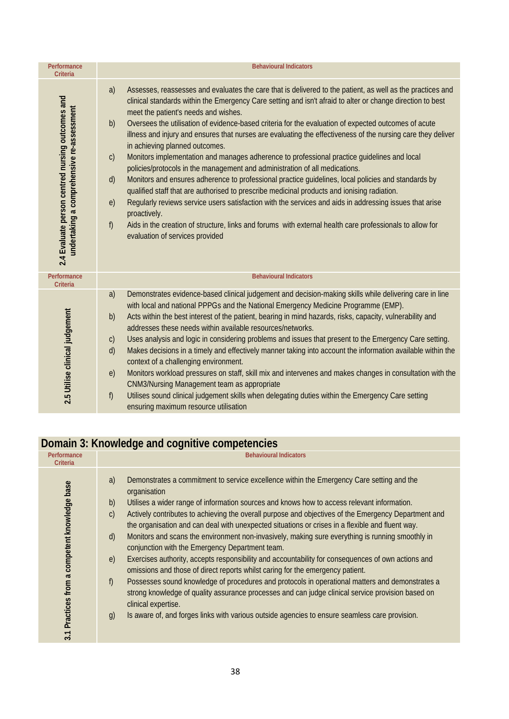| Performance<br><b>Criteria</b>                                                                | <b>Behavioural Indicators</b>                                                                                                                                                                                                                                                                                                                                                                                                                                                                                                                                                                                                                                                                                                                                                                                                                                                                                                                                                                                                                                                                                                                                                                                                          |
|-----------------------------------------------------------------------------------------------|----------------------------------------------------------------------------------------------------------------------------------------------------------------------------------------------------------------------------------------------------------------------------------------------------------------------------------------------------------------------------------------------------------------------------------------------------------------------------------------------------------------------------------------------------------------------------------------------------------------------------------------------------------------------------------------------------------------------------------------------------------------------------------------------------------------------------------------------------------------------------------------------------------------------------------------------------------------------------------------------------------------------------------------------------------------------------------------------------------------------------------------------------------------------------------------------------------------------------------------|
| 2.4 Evaluate person centred nursing outcomes and<br>undertaking a comprehensive re-assessment | Assesses, reassesses and evaluates the care that is delivered to the patient, as well as the practices and<br>a)<br>clinical standards within the Emergency Care setting and isn't afraid to alter or change direction to best<br>meet the patient's needs and wishes.<br>Oversees the utilisation of evidence-based criteria for the evaluation of expected outcomes of acute<br>b)<br>illness and injury and ensures that nurses are evaluating the effectiveness of the nursing care they deliver<br>in achieving planned outcomes.<br>Monitors implementation and manages adherence to professional practice guidelines and local<br>$\mathsf{C}$<br>policies/protocols in the management and administration of all medications.<br>Monitors and ensures adherence to professional practice guidelines, local policies and standards by<br>d)<br>qualified staff that are authorised to prescribe medicinal products and ionising radiation.<br>Regularly reviews service users satisfaction with the services and aids in addressing issues that arise<br>e)<br>proactively.<br>f)<br>Aids in the creation of structure, links and forums with external health care professionals to allow for<br>evaluation of services provided |
| Performance<br>Criteria                                                                       | <b>Behavioural Indicators</b>                                                                                                                                                                                                                                                                                                                                                                                                                                                                                                                                                                                                                                                                                                                                                                                                                                                                                                                                                                                                                                                                                                                                                                                                          |
| 2.5 Utilise clinical judgement                                                                | Demonstrates evidence-based clinical judgement and decision-making skills while delivering care in line<br>a)<br>with local and national PPPGs and the National Emergency Medicine Programme (EMP).<br>Acts within the best interest of the patient, bearing in mind hazards, risks, capacity, vulnerability and<br>b)<br>addresses these needs within available resources/networks.<br>Uses analysis and logic in considering problems and issues that present to the Emergency Care setting.<br>$\mathsf{C}$<br>Makes decisions in a timely and effectively manner taking into account the information available within the<br>d)<br>context of a challenging environment.<br>Monitors workload pressures on staff, skill mix and intervenes and makes changes in consultation with the<br>e)<br><b>CNM3/Nursing Management team as appropriate</b><br>f)<br>Utilises sound clinical judgement skills when delegating duties within the Emergency Care setting<br>ensuring maximum resource utilisation                                                                                                                                                                                                                              |

## **Domain 3: Knowledge and cognitive competencies**

| Performance<br><b>Criteria</b>                | <b>Behavioural Indicators</b>                                                                                                                                                                                                                                                                                                                                                                                                                                                                                                                                                                                                                                                                                                                                                                                                                                                                                                                                                                                                                                                                                                                                                 |
|-----------------------------------------------|-------------------------------------------------------------------------------------------------------------------------------------------------------------------------------------------------------------------------------------------------------------------------------------------------------------------------------------------------------------------------------------------------------------------------------------------------------------------------------------------------------------------------------------------------------------------------------------------------------------------------------------------------------------------------------------------------------------------------------------------------------------------------------------------------------------------------------------------------------------------------------------------------------------------------------------------------------------------------------------------------------------------------------------------------------------------------------------------------------------------------------------------------------------------------------|
| 3.1 Practices from a competent knowledge base | Demonstrates a commitment to service excellence within the Emergency Care setting and the<br>a)<br>organisation<br>Utilises a wider range of information sources and knows how to access relevant information.<br>b)<br>Actively contributes to achieving the overall purpose and objectives of the Emergency Department and<br>$\mathsf{C}$<br>the organisation and can deal with unexpected situations or crises in a flexible and fluent way.<br>Monitors and scans the environment non-invasively, making sure everything is running smoothly in<br>$\mathsf{d}$<br>conjunction with the Emergency Department team.<br>Exercises authority, accepts responsibility and accountability for consequences of own actions and<br>e)<br>omissions and those of direct reports whilst caring for the emergency patient.<br>f<br>Possesses sound knowledge of procedures and protocols in operational matters and demonstrates a<br>strong knowledge of quality assurance processes and can judge clinical service provision based on<br>clinical expertise.<br>Is aware of, and forges links with various outside agencies to ensure seamless care provision.<br>$\mathfrak{g}$ |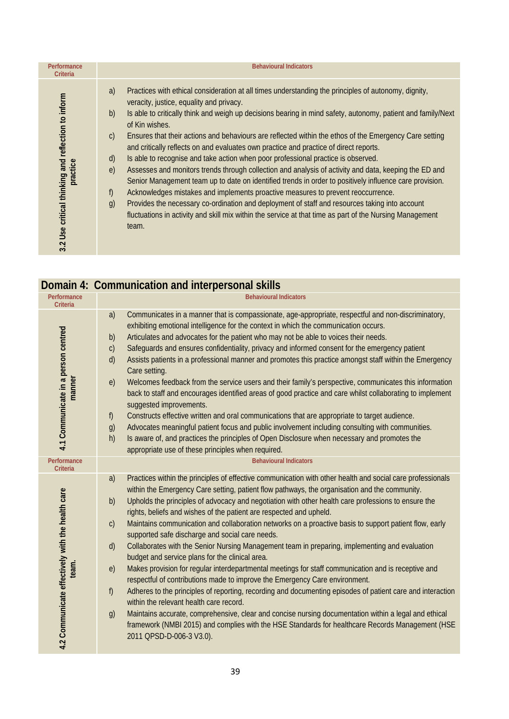| Performance<br>Criteria                                        | <b>Behavioural Indicators</b>                                                                                                                                                                                                                                                                                                                                                                                                                                                                                                                                                                                                                                                                                                                                                                                                                                                                                                                                                                                                                                                                                                                                                    |
|----------------------------------------------------------------|----------------------------------------------------------------------------------------------------------------------------------------------------------------------------------------------------------------------------------------------------------------------------------------------------------------------------------------------------------------------------------------------------------------------------------------------------------------------------------------------------------------------------------------------------------------------------------------------------------------------------------------------------------------------------------------------------------------------------------------------------------------------------------------------------------------------------------------------------------------------------------------------------------------------------------------------------------------------------------------------------------------------------------------------------------------------------------------------------------------------------------------------------------------------------------|
| 3.2 Use critical thinking and reflection to inform<br>practice | Practices with ethical consideration at all times understanding the principles of autonomy, dignity,<br>a)<br>veracity, justice, equality and privacy.<br>Is able to critically think and weigh up decisions bearing in mind safety, autonomy, patient and family/Next<br>b)<br>of Kin wishes.<br>Ensures that their actions and behaviours are reflected within the ethos of the Emergency Care setting<br>$\mathcal{C}$<br>and critically reflects on and evaluates own practice and practice of direct reports.<br>Is able to recognise and take action when poor professional practice is observed.<br>$\mathsf{d}$<br>Assesses and monitors trends through collection and analysis of activity and data, keeping the ED and<br>$\epsilon$<br>Senior Management team up to date on identified trends in order to positively influence care provision.<br>Acknowledges mistakes and implements proactive measures to prevent reoccurrence.<br>f)<br>Provides the necessary co-ordination and deployment of staff and resources taking into account<br>g)<br>fluctuations in activity and skill mix within the service at that time as part of the Nursing Management<br>team. |

|                                                           | Domain 4: Communication and interpersonal skills                                                                                                                                                                                                                                                                                                                                                                                                                                                                                                                                                                                                                                                                                                                                                                                                                                                                                                                                                                                                                                                                                                                                                                                                                                                                                              |
|-----------------------------------------------------------|-----------------------------------------------------------------------------------------------------------------------------------------------------------------------------------------------------------------------------------------------------------------------------------------------------------------------------------------------------------------------------------------------------------------------------------------------------------------------------------------------------------------------------------------------------------------------------------------------------------------------------------------------------------------------------------------------------------------------------------------------------------------------------------------------------------------------------------------------------------------------------------------------------------------------------------------------------------------------------------------------------------------------------------------------------------------------------------------------------------------------------------------------------------------------------------------------------------------------------------------------------------------------------------------------------------------------------------------------|
| Performance<br>Criteria                                   | <b>Behavioural Indicators</b>                                                                                                                                                                                                                                                                                                                                                                                                                                                                                                                                                                                                                                                                                                                                                                                                                                                                                                                                                                                                                                                                                                                                                                                                                                                                                                                 |
| 4.1 Communicate in a person centred<br>manner             | a)<br>Communicates in a manner that is compassionate, age-appropriate, respectful and non-discriminatory,<br>exhibiting emotional intelligence for the context in which the communication occurs.<br>Articulates and advocates for the patient who may not be able to voices their needs.<br>b)<br>Safeguards and ensures confidentiality, privacy and informed consent for the emergency patient<br>$\mathsf{C}$<br>Assists patients in a professional manner and promotes this practice amongst staff within the Emergency<br>d)<br>Care setting.<br>Welcomes feedback from the service users and their family's perspective, communicates this information<br>e)<br>back to staff and encourages identified areas of good practice and care whilst collaborating to implement<br>suggested improvements.<br>f)<br>Constructs effective written and oral communications that are appropriate to target audience.<br>Advocates meaningful patient focus and public involvement including consulting with communities.<br>g)<br>Is aware of, and practices the principles of Open Disclosure when necessary and promotes the<br>h)<br>appropriate use of these principles when required.                                                                                                                                                      |
| Performance<br><b>Criteria</b>                            | <b>Behavioural Indicators</b>                                                                                                                                                                                                                                                                                                                                                                                                                                                                                                                                                                                                                                                                                                                                                                                                                                                                                                                                                                                                                                                                                                                                                                                                                                                                                                                 |
| 4.2 Communicate effectively with the health care<br>team. | Practices within the principles of effective communication with other health and social care professionals<br>a)<br>within the Emergency Care setting, patient flow pathways, the organisation and the community.<br>Upholds the principles of advocacy and negotiation with other health care professions to ensure the<br>b)<br>rights, beliefs and wishes of the patient are respected and upheld.<br>Maintains communication and collaboration networks on a proactive basis to support patient flow, early<br>C)<br>supported safe discharge and social care needs.<br>Collaborates with the Senior Nursing Management team in preparing, implementing and evaluation<br>d)<br>budget and service plans for the clinical area.<br>Makes provision for regular interdepartmental meetings for staff communication and is receptive and<br>e)<br>respectful of contributions made to improve the Emergency Care environment.<br>Adheres to the principles of reporting, recording and documenting episodes of patient care and interaction<br>f)<br>within the relevant health care record.<br>Maintains accurate, comprehensive, clear and concise nursing documentation within a legal and ethical<br>g)<br>framework (NMBI 2015) and complies with the HSE Standards for healthcare Records Management (HSE<br>2011 QPSD-D-006-3 V3.0). |

 **Domain 4: Communication and interpersonal skills**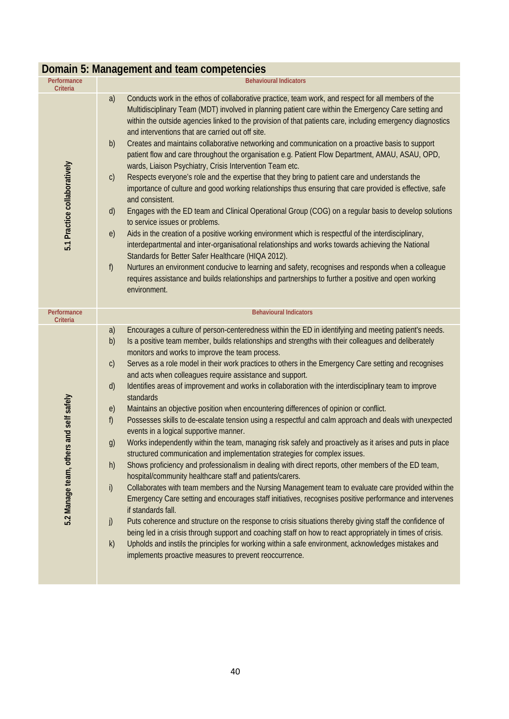|                                         | DOITIAILED. MALIAGELIEHE AND LEATH COMPETENCIES                                                                                                                                                                                                                                                                                                                                                                                                                                                                                                                                                                                                                                                                                                                                                                                                                                                                                                                                                                                                                                                                                                                                                                                                                                                                                                                                                                                                                                                                                                                                                                                                                                                                                                                                                                                                                                                |
|-----------------------------------------|------------------------------------------------------------------------------------------------------------------------------------------------------------------------------------------------------------------------------------------------------------------------------------------------------------------------------------------------------------------------------------------------------------------------------------------------------------------------------------------------------------------------------------------------------------------------------------------------------------------------------------------------------------------------------------------------------------------------------------------------------------------------------------------------------------------------------------------------------------------------------------------------------------------------------------------------------------------------------------------------------------------------------------------------------------------------------------------------------------------------------------------------------------------------------------------------------------------------------------------------------------------------------------------------------------------------------------------------------------------------------------------------------------------------------------------------------------------------------------------------------------------------------------------------------------------------------------------------------------------------------------------------------------------------------------------------------------------------------------------------------------------------------------------------------------------------------------------------------------------------------------------------|
| Performance<br>Criteria                 | <b>Behavioural Indicators</b>                                                                                                                                                                                                                                                                                                                                                                                                                                                                                                                                                                                                                                                                                                                                                                                                                                                                                                                                                                                                                                                                                                                                                                                                                                                                                                                                                                                                                                                                                                                                                                                                                                                                                                                                                                                                                                                                  |
| 5.1 Practice collaboratively            | Conducts work in the ethos of collaborative practice, team work, and respect for all members of the<br>a)<br>Multidisciplinary Team (MDT) involved in planning patient care within the Emergency Care setting and<br>within the outside agencies linked to the provision of that patients care, including emergency diagnostics<br>and interventions that are carried out off site.<br>Creates and maintains collaborative networking and communication on a proactive basis to support<br>b)<br>patient flow and care throughout the organisation e.g. Patient Flow Department, AMAU, ASAU, OPD,<br>wards, Liaison Psychiatry, Crisis Intervention Team etc.<br>Respects everyone's role and the expertise that they bring to patient care and understands the<br>$\mathsf{C}$<br>importance of culture and good working relationships thus ensuring that care provided is effective, safe<br>and consistent.<br>Engages with the ED team and Clinical Operational Group (COG) on a regular basis to develop solutions<br>d)<br>to service issues or problems.<br>Aids in the creation of a positive working environment which is respectful of the interdisciplinary,<br>e)<br>interdepartmental and inter-organisational relationships and works towards achieving the National<br>Standards for Better Safer Healthcare (HIQA 2012).<br>f)<br>Nurtures an environment conducive to learning and safety, recognises and responds when a colleague<br>requires assistance and builds relationships and partnerships to further a positive and open working<br>environment.                                                                                                                                                                                                                                                                                                                   |
| Performance<br>Criteria                 | <b>Behavioural Indicators</b>                                                                                                                                                                                                                                                                                                                                                                                                                                                                                                                                                                                                                                                                                                                                                                                                                                                                                                                                                                                                                                                                                                                                                                                                                                                                                                                                                                                                                                                                                                                                                                                                                                                                                                                                                                                                                                                                  |
| 5.2 Manage team, others and self safely | a)<br>Encourages a culture of person-centeredness within the ED in identifying and meeting patient's needs.<br>Is a positive team member, builds relationships and strengths with their colleagues and deliberately<br>b)<br>monitors and works to improve the team process.<br>Serves as a role model in their work practices to others in the Emergency Care setting and recognises<br>$\mathsf{C}$<br>and acts when colleagues require assistance and support.<br>Identifies areas of improvement and works in collaboration with the interdisciplinary team to improve<br>$\mathsf{d}$<br>standards<br>Maintains an objective position when encountering differences of opinion or conflict.<br>e)<br>Possesses skills to de-escalate tension using a respectful and calm approach and deals with unexpected<br>f)<br>events in a logical supportive manner.<br>Works independently within the team, managing risk safely and proactively as it arises and puts in place<br>g)<br>structured communication and implementation strategies for complex issues.<br>Shows proficiency and professionalism in dealing with direct reports, other members of the ED team,<br>h)<br>hospital/community healthcare staff and patients/carers.<br>Collaborates with team members and the Nursing Management team to evaluate care provided within the<br>i)<br>Emergency Care setting and encourages staff initiatives, recognises positive performance and intervenes<br>if standards fall.<br>Puts coherence and structure on the response to crisis situations thereby giving staff the confidence of<br>j)<br>being led in a crisis through support and coaching staff on how to react appropriately in times of crisis.<br>Upholds and instils the principles for working within a safe environment, acknowledges mistakes and<br>k)<br>implements proactive measures to prevent reoccurrence. |

#### **Domain 5: Management and team competencies**